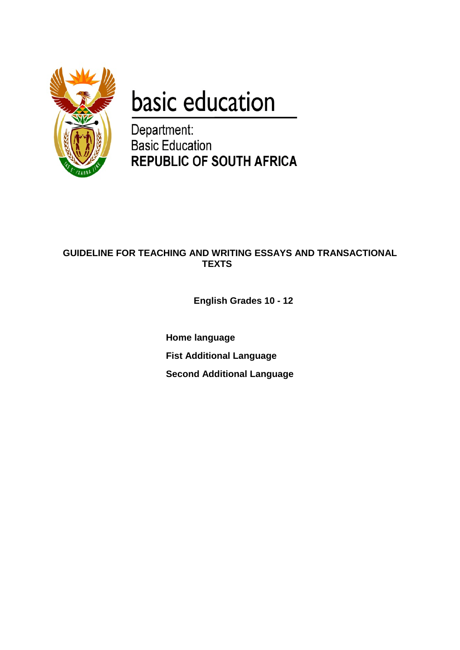

# basic education

Department: **Basic Education REPUBLIC OF SOUTH AFRICA** 

# **GUIDELINE FOR TEACHING AND WRITING ESSAYS AND TRANSACTIONAL TEXTS**

**English Grades 10 - 12**

**Home language Fist Additional Language Second Additional Language**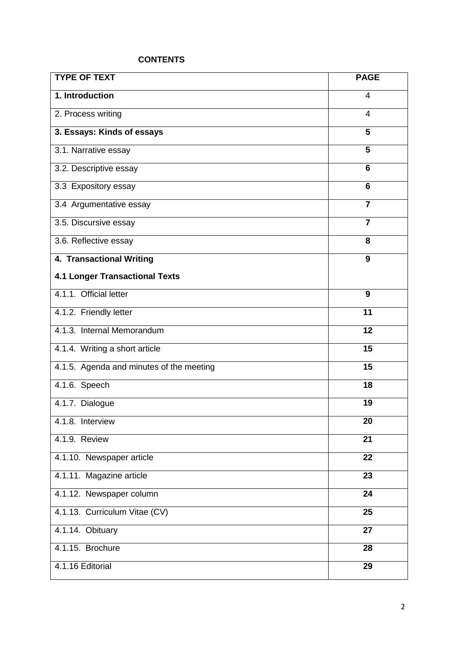# **CONTENTS**

| <b>TYPE OF TEXT</b>                      | <b>PAGE</b>             |
|------------------------------------------|-------------------------|
| 1. Introduction                          | 4                       |
| 2. Process writing                       | 4                       |
| 3. Essays: Kinds of essays               | 5                       |
| 3.1. Narrative essay                     | 5                       |
| 3.2. Descriptive essay                   | 6                       |
| 3.3 Expository essay                     | 6                       |
| 3.4 Argumentative essay                  | $\overline{7}$          |
| 3.5. Discursive essay                    | $\overline{\mathbf{7}}$ |
| 3.6. Reflective essay                    | 8                       |
| 4. Transactional Writing                 | 9                       |
| <b>4.1 Longer Transactional Texts</b>    |                         |
| 4.1.1. Official letter                   | 9                       |
| 4.1.2. Friendly letter                   | 11                      |
| 4.1.3. Internal Memorandum               | 12                      |
| 4.1.4. Writing a short article           | 15                      |
| 4.1.5. Agenda and minutes of the meeting | $\overline{15}$         |
| 4.1.6. Speech                            | 18                      |
| 4.1.7. Dialogue                          | 19                      |
| 4.1.8. Interview                         | 20                      |
| 4.1.9. Review                            | 21                      |
| 4.1.10. Newspaper article                | 22                      |
| 4.1.11. Magazine article                 | 23                      |
| 4.1.12. Newspaper column                 | 24                      |
| 4.1.13. Curriculum Vitae (CV)            | 25                      |
| 4.1.14. Obituary                         | 27                      |
| 4.1.15. Brochure                         | 28                      |
| 4.1.16 Editorial                         | 29                      |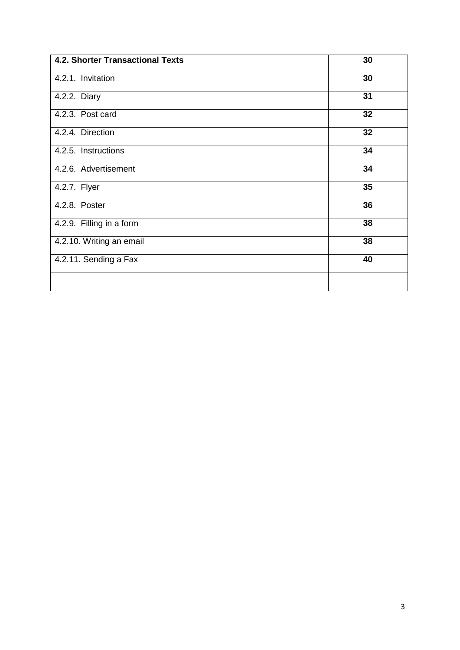| 4.2. Shorter Transactional Texts | 30 |
|----------------------------------|----|
| 4.2.1. Invitation                | 30 |
| 4.2.2. Diary                     | 31 |
| 4.2.3. Post card                 | 32 |
| 4.2.4. Direction                 | 32 |
| 4.2.5. Instructions              | 34 |
| 4.2.6. Advertisement             | 34 |
| 4.2.7. Flyer                     | 35 |
| 4.2.8. Poster                    | 36 |
| 4.2.9. Filling in a form         | 38 |
| 4.2.10. Writing an email         | 38 |
| 4.2.11. Sending a Fax            | 40 |
|                                  |    |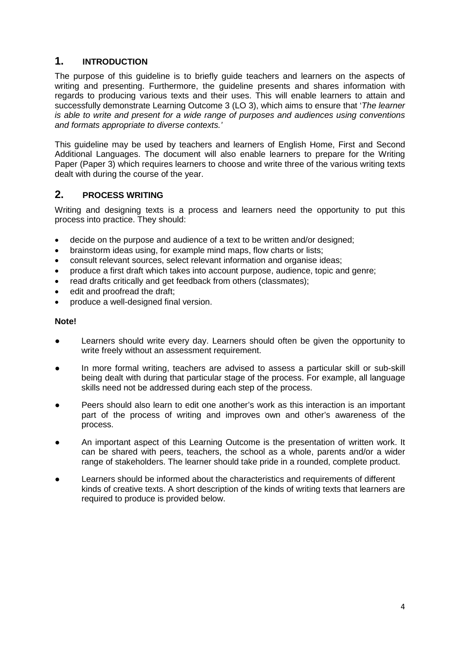# **1. INTRODUCTION**

The purpose of this guideline is to briefly guide teachers and learners on the aspects of writing and presenting. Furthermore, the guideline presents and shares information with regards to producing various texts and their uses. This will enable learners to attain and successfully demonstrate Learning Outcome 3 (LO 3), which aims to ensure that '*The learner is able to write and present for a wide range of purposes and audiences using conventions and formats appropriate to diverse contexts.'*

This guideline may be used by teachers and learners of English Home, First and Second Additional Languages. The document will also enable learners to prepare for the Writing Paper (Paper 3) which requires learners to choose and write three of the various writing texts dealt with during the course of the year.

# **2. PROCESS WRITING**

Writing and designing texts is a process and learners need the opportunity to put this process into practice. They should:

- decide on the purpose and audience of a text to be written and/or designed;
- brainstorm ideas using, for example mind maps, flow charts or lists;
- consult relevant sources, select relevant information and organise ideas;
- produce a first draft which takes into account purpose, audience, topic and genre;
- read drafts critically and get feedback from others (classmates);
- edit and proofread the draft;
- produce a well-designed final version.

#### **Note!**

- Learners should write every day. Learners should often be given the opportunity to write freely without an assessment requirement.
- In more formal writing, teachers are advised to assess a particular skill or sub-skill being dealt with during that particular stage of the process. For example, all language skills need not be addressed during each step of the process.
- Peers should also learn to edit one another's work as this interaction is an important part of the process of writing and improves own and other's awareness of the process.
- An important aspect of this Learning Outcome is the presentation of written work. It can be shared with peers, teachers, the school as a whole, parents and/or a wider range of stakeholders. The learner should take pride in a rounded, complete product.
- Learners should be informed about the characteristics and requirements of different kinds of creative texts. A short description of the kinds of writing texts that learners are required to produce is provided below.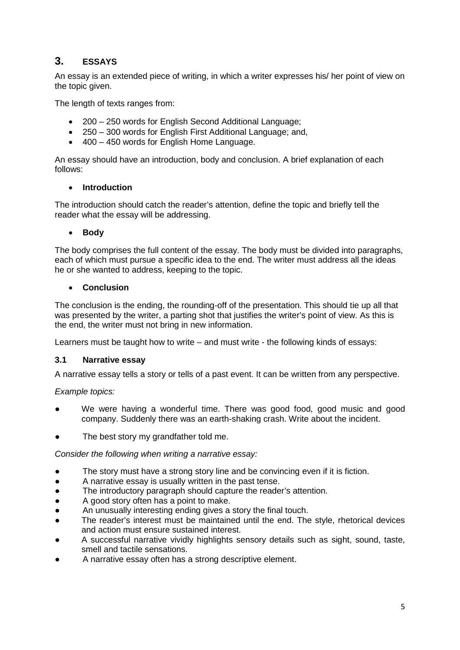# **3. ESSAYS**

An essay is an extended piece of writing, in which a writer expresses his/ her point of view on the topic given.

The length of texts ranges from:

- 200 250 words for English Second Additional Language;
- 250 300 words for English First Additional Language; and,
- 400 450 words for English Home Language.

An essay should have an introduction, body and conclusion. A brief explanation of each follows:

#### • **Introduction**

The introduction should catch the reader's attention, define the topic and briefly tell the reader what the essay will be addressing.

#### • **Body**

The body comprises the full content of the essay. The body must be divided into paragraphs, each of which must pursue a specific idea to the end. The writer must address all the ideas he or she wanted to address, keeping to the topic.

#### • **Conclusion**

The conclusion is the ending, the rounding-off of the presentation. This should tie up all that was presented by the writer, a parting shot that justifies the writer's point of view. As this is the end, the writer must not bring in new information.

Learners must be taught how to write – and must write - the following kinds of essays:

#### **3.1 Narrative essay**

A narrative essay tells a story or tells of a past event. It can be written from any perspective.

#### *Example topics:*

- We were having a wonderful time. There was good food, good music and good company. Suddenly there was an earth-shaking crash. Write about the incident.
- The best story my grandfather told me.

#### *Consider the following when writing a narrative essay:*

- The story must have a strong story line and be convincing even if it is fiction.
- A narrative essay is usually written in the past tense.
- The introductory paragraph should capture the reader's attention.
- A good story often has a point to make.
- An unusually interesting ending gives a story the final touch.
- The reader's interest must be maintained until the end. The style, rhetorical devices and action must ensure sustained interest.
- A successful narrative vividly highlights sensory details such as sight, sound, taste, smell and tactile sensations.
- A narrative essay often has a strong descriptive element.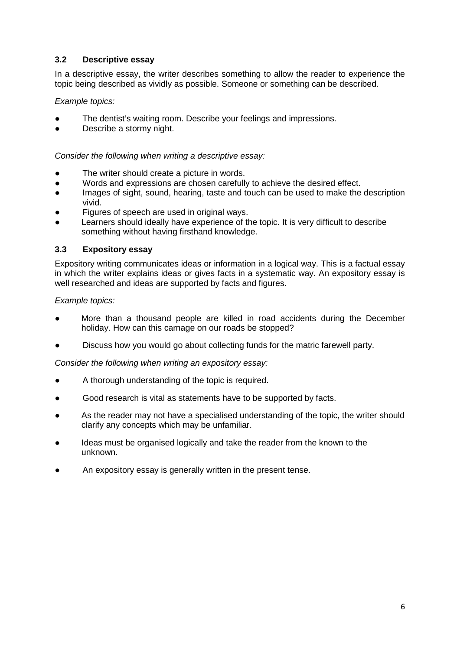# **3.2 Descriptive essay**

In a descriptive essay, the writer describes something to allow the reader to experience the topic being described as vividly as possible. Someone or something can be described.

# *Example topics:*

- The dentist's waiting room. Describe your feelings and impressions.
- Describe a stormy night.

*Consider the following when writing a descriptive essay:*

- The writer should create a picture in words.
- Words and expressions are chosen carefully to achieve the desired effect.
- Images of sight, sound, hearing, taste and touch can be used to make the description vivid.
- Figures of speech are used in original ways.
- Learners should ideally have experience of the topic. It is very difficult to describe something without having firsthand knowledge.

## **3.3 Expository essay**

Expository writing communicates ideas or information in a logical way. This is a factual essay in which the writer explains ideas or gives facts in a systematic way. An expository essay is well researched and ideas are supported by facts and figures.

*Example topics:*

- More than a thousand people are killed in road accidents during the December holiday. How can this carnage on our roads be stopped?
- Discuss how you would go about collecting funds for the matric farewell party.

*Consider the following when writing an expository essay:*

- A thorough understanding of the topic is required.
- Good research is vital as statements have to be supported by facts.
- As the reader may not have a specialised understanding of the topic, the writer should clarify any concepts which may be unfamiliar.
- Ideas must be organised logically and take the reader from the known to the unknown.
- An expository essay is generally written in the present tense.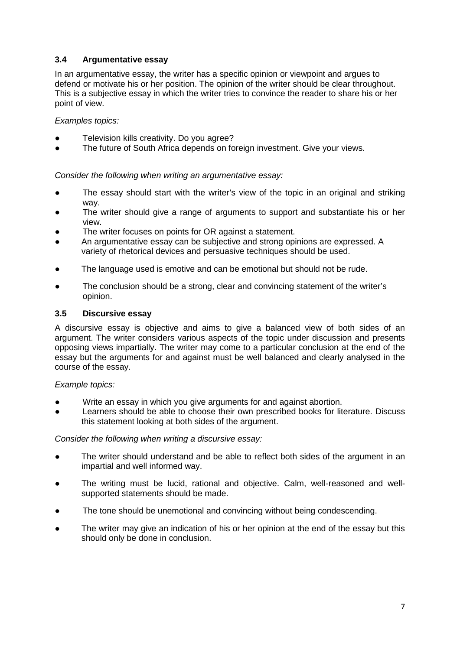# **3.4 Argumentative essay**

In an argumentative essay, the writer has a specific opinion or viewpoint and argues to defend or motivate his or her position. The opinion of the writer should be clear throughout. This is a subjective essay in which the writer tries to convince the reader to share his or her point of view.

#### *Examples topics:*

- Television kills creativity. Do you agree?
- The future of South Africa depends on foreign investment. Give your views.

*Consider the following when writing an argumentative essay:*

- The essay should start with the writer's view of the topic in an original and striking way.
- The writer should give a range of arguments to support and substantiate his or her view.
- The writer focuses on points for OR against a statement.
- An argumentative essay can be subjective and strong opinions are expressed. A variety of rhetorical devices and persuasive techniques should be used.
- The language used is emotive and can be emotional but should not be rude.
- The conclusion should be a strong, clear and convincing statement of the writer's opinion.

#### **3.5 Discursive essay**

A discursive essay is objective and aims to give a balanced view of both sides of an argument. The writer considers various aspects of the topic under discussion and presents opposing views impartially. The writer may come to a particular conclusion at the end of the essay but the arguments for and against must be well balanced and clearly analysed in the course of the essay.

#### *Example topics:*

- Write an essay in which you give arguments for and against abortion.
- Learners should be able to choose their own prescribed books for literature. Discuss this statement looking at both sides of the argument.

#### *Consider the following when writing a discursive essay:*

- The writer should understand and be able to reflect both sides of the argument in an impartial and well informed way.
- The writing must be lucid, rational and objective. Calm, well-reasoned and wellsupported statements should be made.
- The tone should be unemotional and convincing without being condescending.
- The writer may give an indication of his or her opinion at the end of the essay but this should only be done in conclusion.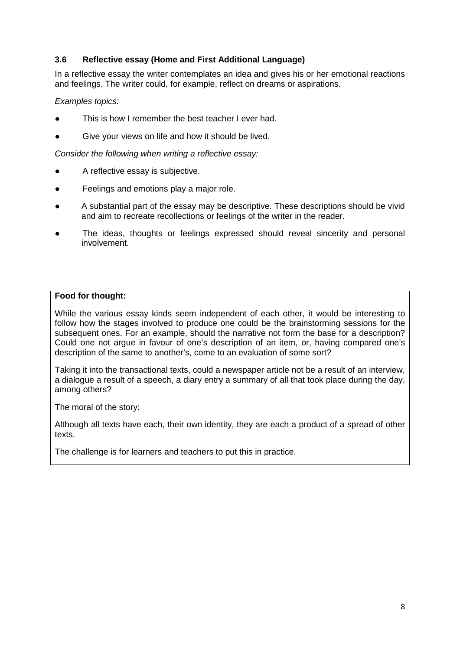# **3.6 Reflective essay (Home and First Additional Language)**

In a reflective essay the writer contemplates an idea and gives his or her emotional reactions and feelings. The writer could, for example, reflect on dreams or aspirations.

## *Examples topics:*

- This is how I remember the best teacher I ever had.
- Give your views on life and how it should be lived.

*Consider the following when writing a reflective essay:*

- A reflective essay is subjective.
- Feelings and emotions play a major role.
- A substantial part of the essay may be descriptive. These descriptions should be vivid and aim to recreate recollections or feelings of the writer in the reader.
- The ideas, thoughts or feelings expressed should reveal sincerity and personal involvement.

## **Food for thought:**

While the various essay kinds seem independent of each other, it would be interesting to follow how the stages involved to produce one could be the brainstorming sessions for the subsequent ones. For an example, should the narrative not form the base for a description? Could one not argue in favour of one's description of an item, or, having compared one's description of the same to another's, come to an evaluation of some sort?

Taking it into the transactional texts, could a newspaper article not be a result of an interview, a dialogue a result of a speech, a diary entry a summary of all that took place during the day, among others?

The moral of the story:

Although all texts have each, their own identity, they are each a product of a spread of other texts.

The challenge is for learners and teachers to put this in practice.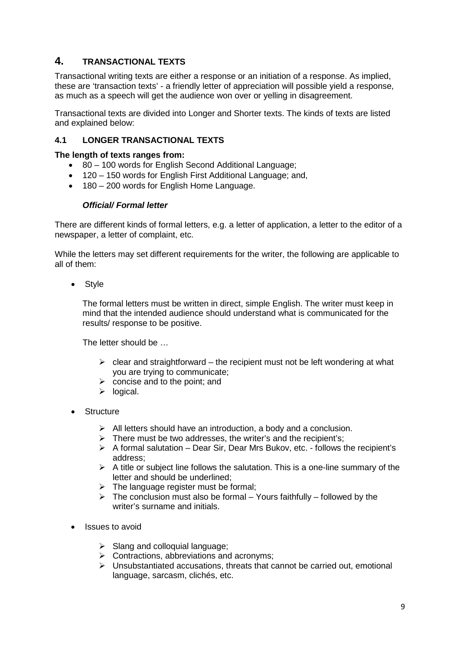# **4. TRANSACTIONAL TEXTS**

Transactional writing texts are either a response or an initiation of a response. As implied, these are 'transaction texts' - a friendly letter of appreciation will possible yield a response, as much as a speech will get the audience won over or yelling in disagreement.

Transactional texts are divided into Longer and Shorter texts. The kinds of texts are listed and explained below:

# **4.1 LONGER TRANSACTIONAL TEXTS**

#### **The length of texts ranges from:**

- 80 100 words for English Second Additional Language;
- 120 150 words for English First Additional Language; and,
- 180 200 words for English Home Language.

#### *Official/ Formal letter*

There are different kinds of formal letters, e.g. a letter of application, a letter to the editor of a newspaper, a letter of complaint, etc.

While the letters may set different requirements for the writer, the following are applicable to all of them:

• Style

The formal letters must be written in direct, simple English. The writer must keep in mind that the intended audience should understand what is communicated for the results/ response to be positive.

The letter should be …

- $\triangleright$  clear and straightforward the recipient must not be left wondering at what you are trying to communicate;
- $\triangleright$  concise and to the point; and
- $\triangleright$  logical.
- **Structure** 
	- $\triangleright$  All letters should have an introduction, a body and a conclusion.
	- $\triangleright$  There must be two addresses, the writer's and the recipient's;
	- $\triangleright$  A formal salutation Dear Sir, Dear Mrs Bukov, etc. follows the recipient's address;
	- $\triangleright$  A title or subject line follows the salutation. This is a one-line summary of the letter and should be underlined;
	- $\triangleright$  The language register must be formal;
	- $\triangleright$  The conclusion must also be formal Yours faithfully followed by the writer's surname and initials.
- Issues to avoid
	- $\triangleright$  Slang and colloquial language;
	- $\triangleright$  Contractions, abbreviations and acronyms;
	- $\triangleright$  Unsubstantiated accusations, threats that cannot be carried out, emotional language, sarcasm, clichés, etc.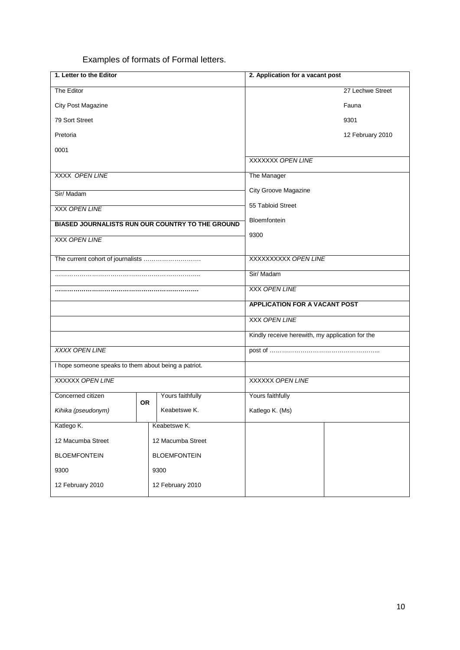Examples of formats of Formal letters.

| 1. Letter to the Editor                              |           |                                                                  | 2. Application for a vacant post                |  |
|------------------------------------------------------|-----------|------------------------------------------------------------------|-------------------------------------------------|--|
| The Editor                                           |           |                                                                  | 27 Lechwe Street                                |  |
| City Post Magazine                                   |           |                                                                  | Fauna                                           |  |
| 79 Sort Street                                       |           |                                                                  | 9301                                            |  |
| Pretoria                                             |           |                                                                  | 12 February 2010                                |  |
| 0001                                                 |           |                                                                  |                                                 |  |
|                                                      |           |                                                                  | XXXXXX OPEN LINE                                |  |
| XXXX OPEN LINE                                       |           |                                                                  | The Manager                                     |  |
| Sir/Madam                                            |           |                                                                  | <b>City Groove Magazine</b>                     |  |
| <b>XXX OPEN LINE</b>                                 |           |                                                                  | 55 Tabloid Street                               |  |
|                                                      |           | Bloemfontein<br>BIASED JOURNALISTS RUN OUR COUNTRY TO THE GROUND |                                                 |  |
| <b>XXX OPEN LINE</b>                                 |           |                                                                  | 9300                                            |  |
|                                                      |           |                                                                  |                                                 |  |
|                                                      |           |                                                                  | XXXXXXXXX OPEN LINE                             |  |
|                                                      |           |                                                                  | Sir/ Madam                                      |  |
|                                                      |           |                                                                  | XXX OPEN LINE                                   |  |
|                                                      |           |                                                                  | <b>APPLICATION FOR A VACANT POST</b>            |  |
|                                                      |           |                                                                  | <b>XXX OPEN LINE</b>                            |  |
|                                                      |           |                                                                  | Kindly receive herewith, my application for the |  |
| XXXX OPEN LINE                                       |           |                                                                  |                                                 |  |
| I hope someone speaks to them about being a patriot. |           |                                                                  |                                                 |  |
| <b>XXXXXX OPEN LINE</b>                              |           |                                                                  | XXXXXX OPEN LINE                                |  |
| Concerned citizen                                    | <b>OR</b> | Yours faithfully                                                 | Yours faithfully                                |  |
| Kihika (pseudonym)                                   |           | Keabetswe K.                                                     | Katlego K. (Ms)                                 |  |
| Katlego K.                                           |           | Keabetswe K.                                                     |                                                 |  |
| 12 Macumba Street                                    |           | 12 Macumba Street                                                |                                                 |  |
| <b>BLOEMFONTEIN</b>                                  |           | <b>BLOEMFONTEIN</b>                                              |                                                 |  |
| 9300                                                 |           | 9300                                                             |                                                 |  |
| 12 February 2010                                     |           | 12 February 2010                                                 |                                                 |  |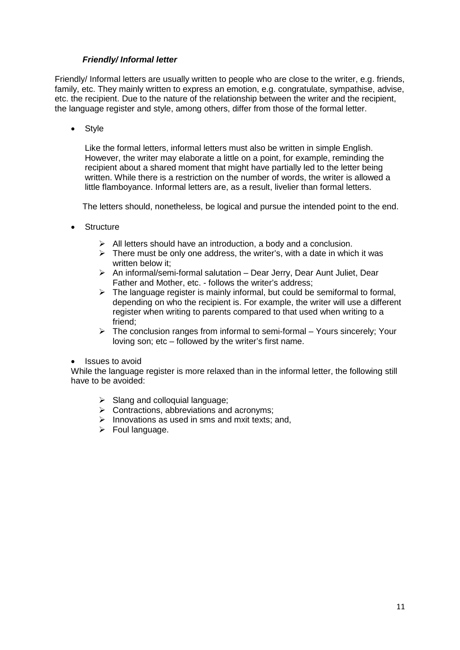## *Friendly/ Informal letter*

Friendly/ Informal letters are usually written to people who are close to the writer, e.g. friends, family, etc. They mainly written to express an emotion, e.g. congratulate, sympathise, advise, etc. the recipient. Due to the nature of the relationship between the writer and the recipient, the language register and style, among others, differ from those of the formal letter.

• Style

Like the formal letters, informal letters must also be written in simple English. However, the writer may elaborate a little on a point, for example, reminding the recipient about a shared moment that might have partially led to the letter being written. While there is a restriction on the number of words, the writer is allowed a little flamboyance. Informal letters are, as a result, livelier than formal letters.

The letters should, nonetheless, be logical and pursue the intended point to the end.

- **Structure** 
	- $\triangleright$  All letters should have an introduction, a body and a conclusion.
	- $\triangleright$  There must be only one address, the writer's, with a date in which it was written below it:
	- An informal/semi-formal salutation Dear Jerry, Dear Aunt Juliet, Dear Father and Mother, etc. - follows the writer's address;
	- $\triangleright$  The language register is mainly informal, but could be semiformal to formal, depending on who the recipient is. For example, the writer will use a different register when writing to parents compared to that used when writing to a friend;
	- $\triangleright$  The conclusion ranges from informal to semi-formal Yours sincerely; Your loving son; etc – followed by the writer's first name.
- Issues to avoid

While the language register is more relaxed than in the informal letter, the following still have to be avoided:

- $\triangleright$  Slang and colloquial language;
- $\triangleright$  Contractions, abbreviations and acronyms;
- $\triangleright$  Innovations as used in sms and mxit texts; and,
- $\triangleright$  Foul language.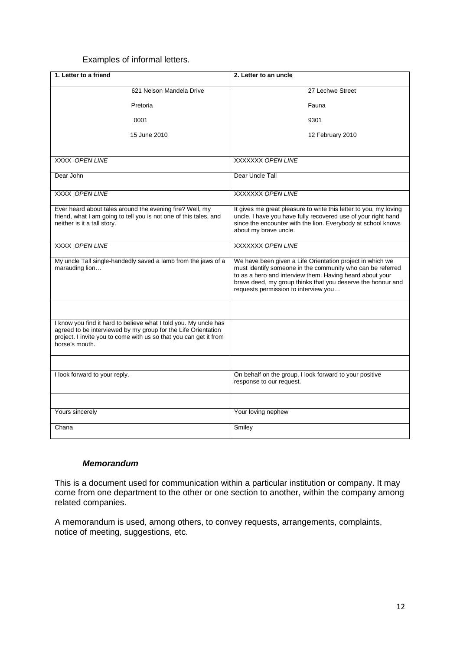#### Examples of informal letters.

| 1. Letter to a friend                                                                                                                                                                                                    | 2. Letter to an uncle                                                                                                                                                                                                                                                                      |
|--------------------------------------------------------------------------------------------------------------------------------------------------------------------------------------------------------------------------|--------------------------------------------------------------------------------------------------------------------------------------------------------------------------------------------------------------------------------------------------------------------------------------------|
| 621 Nelson Mandela Drive                                                                                                                                                                                                 | 27 Lechwe Street                                                                                                                                                                                                                                                                           |
| Pretoria                                                                                                                                                                                                                 | Fauna                                                                                                                                                                                                                                                                                      |
| 0001                                                                                                                                                                                                                     | 9301                                                                                                                                                                                                                                                                                       |
| 15 June 2010                                                                                                                                                                                                             | 12 February 2010                                                                                                                                                                                                                                                                           |
| <b>XXXX OPEN LINE</b>                                                                                                                                                                                                    | <b>XXXXXX OPEN LINE</b>                                                                                                                                                                                                                                                                    |
| Dear John                                                                                                                                                                                                                | Dear Uncle Tall                                                                                                                                                                                                                                                                            |
| <b>XXXX OPEN LINE</b>                                                                                                                                                                                                    | XXXXXXX OPEN LINE                                                                                                                                                                                                                                                                          |
| Ever heard about tales around the evening fire? Well, my<br>friend, what I am going to tell you is not one of this tales, and<br>neither is it a tall story.                                                             | It gives me great pleasure to write this letter to you, my loving<br>uncle. I have you have fully recovered use of your right hand<br>since the encounter with the lion. Everybody at school knows<br>about my brave uncle.                                                                |
| XXXX OPEN LINE                                                                                                                                                                                                           | <b>XXXXXX OPEN LINE</b>                                                                                                                                                                                                                                                                    |
| My uncle Tall single-handedly saved a lamb from the jaws of a<br>marauding lion                                                                                                                                          | We have been given a Life Orientation project in which we<br>must identify someone in the community who can be referred<br>to as a hero and interview them. Having heard about your<br>brave deed, my group thinks that you deserve the honour and<br>requests permission to interview you |
|                                                                                                                                                                                                                          |                                                                                                                                                                                                                                                                                            |
| I know you find it hard to believe what I told you. My uncle has<br>agreed to be interviewed by my group for the Life Orientation<br>project. I invite you to come with us so that you can get it from<br>horse's mouth. |                                                                                                                                                                                                                                                                                            |
|                                                                                                                                                                                                                          |                                                                                                                                                                                                                                                                                            |
| I look forward to your reply.                                                                                                                                                                                            | On behalf on the group, I look forward to your positive<br>response to our request.                                                                                                                                                                                                        |
|                                                                                                                                                                                                                          |                                                                                                                                                                                                                                                                                            |
| Yours sincerely                                                                                                                                                                                                          | Your loving nephew                                                                                                                                                                                                                                                                         |
| Chana                                                                                                                                                                                                                    | Smiley                                                                                                                                                                                                                                                                                     |

# *Memorandum*

This is a document used for communication within a particular institution or company. It may come from one department to the other or one section to another, within the company among related companies.

A memorandum is used, among others, to convey requests, arrangements, complaints, notice of meeting, suggestions, etc.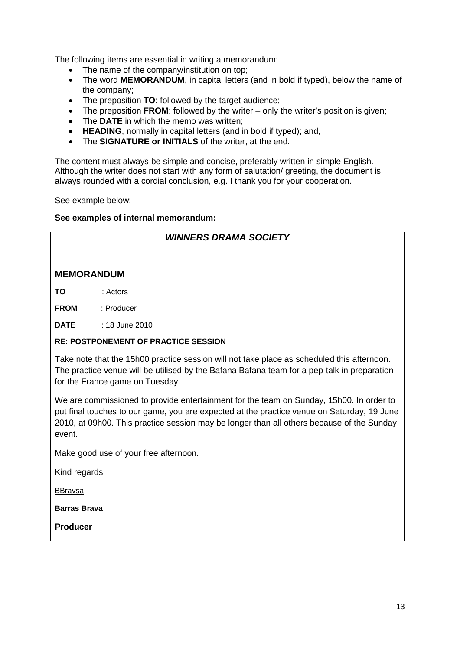The following items are essential in writing a memorandum:

- The name of the company/institution on top;
- The word **MEMORANDUM**, in capital letters (and in bold if typed), below the name of the company;
- The preposition **TO**: followed by the target audience;
- The preposition **FROM**: followed by the writer only the writer's position is given;
- The **DATE** in which the memo was written;
- **HEADING**, normally in capital letters (and in bold if typed); and,
- The **SIGNATURE or INITIALS** of the writer, at the end.

The content must always be simple and concise, preferably written in simple English. Although the writer does not start with any form of salutation/ greeting, the document is always rounded with a cordial conclusion, e.g. I thank you for your cooperation.

See example below:

#### **See examples of internal memorandum:**

|                     | <b>WINNERS DRAMA SOCIETY</b>                                                                                                                                                                                                                                                       |
|---------------------|------------------------------------------------------------------------------------------------------------------------------------------------------------------------------------------------------------------------------------------------------------------------------------|
| <b>MEMORANDUM</b>   |                                                                                                                                                                                                                                                                                    |
| TΟ                  | : Actors                                                                                                                                                                                                                                                                           |
| <b>FROM</b>         | : Producer                                                                                                                                                                                                                                                                         |
| <b>DATE</b>         | $: 18$ June 2010                                                                                                                                                                                                                                                                   |
|                     | <b>RE: POSTPONEMENT OF PRACTICE SESSION</b>                                                                                                                                                                                                                                        |
|                     | Take note that the 15h00 practice session will not take place as scheduled this afternoon.<br>The practice venue will be utilised by the Bafana Bafana team for a pep-talk in preparation<br>for the France game on Tuesday.                                                       |
| event.              | We are commissioned to provide entertainment for the team on Sunday, 15h00. In order to<br>put final touches to our game, you are expected at the practice venue on Saturday, 19 June<br>2010, at 09h00. This practice session may be longer than all others because of the Sunday |
|                     | Make good use of your free afternoon.                                                                                                                                                                                                                                              |
| Kind regards        |                                                                                                                                                                                                                                                                                    |
| <b>BBravsa</b>      |                                                                                                                                                                                                                                                                                    |
| <b>Barras Brava</b> |                                                                                                                                                                                                                                                                                    |
| <b>Producer</b>     |                                                                                                                                                                                                                                                                                    |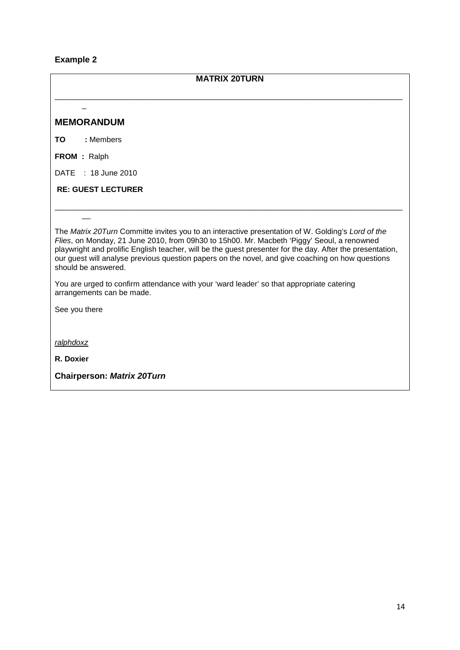# **Example 2**

| <b>MATRIX 20TURN</b>                                                                                                                                                                                                                                                                                                                                                                                                                    |
|-----------------------------------------------------------------------------------------------------------------------------------------------------------------------------------------------------------------------------------------------------------------------------------------------------------------------------------------------------------------------------------------------------------------------------------------|
| <b>MEMORANDUM</b>                                                                                                                                                                                                                                                                                                                                                                                                                       |
| : Members<br>ΤО                                                                                                                                                                                                                                                                                                                                                                                                                         |
| <b>FROM</b> : Ralph                                                                                                                                                                                                                                                                                                                                                                                                                     |
| : 18 June 2010<br><b>DATE</b>                                                                                                                                                                                                                                                                                                                                                                                                           |
| <b>RE: GUEST LECTURER</b>                                                                                                                                                                                                                                                                                                                                                                                                               |
|                                                                                                                                                                                                                                                                                                                                                                                                                                         |
| The Matrix 20Turn Committe invites you to an interactive presentation of W. Golding's Lord of the<br>Flies, on Monday, 21 June 2010, from 09h30 to 15h00. Mr. Macbeth 'Piggy' Seoul, a renowned<br>playwright and prolific English teacher, will be the guest presenter for the day. After the presentation,<br>our guest will analyse previous question papers on the novel, and give coaching on how questions<br>should be answered. |
| You are urged to confirm attendance with your 'ward leader' so that appropriate catering<br>arrangements can be made.                                                                                                                                                                                                                                                                                                                   |
| See you there                                                                                                                                                                                                                                                                                                                                                                                                                           |
| ralphdoxz                                                                                                                                                                                                                                                                                                                                                                                                                               |
| R. Doxier                                                                                                                                                                                                                                                                                                                                                                                                                               |
| <b>Chairperson: Matrix 20Turn</b>                                                                                                                                                                                                                                                                                                                                                                                                       |
|                                                                                                                                                                                                                                                                                                                                                                                                                                         |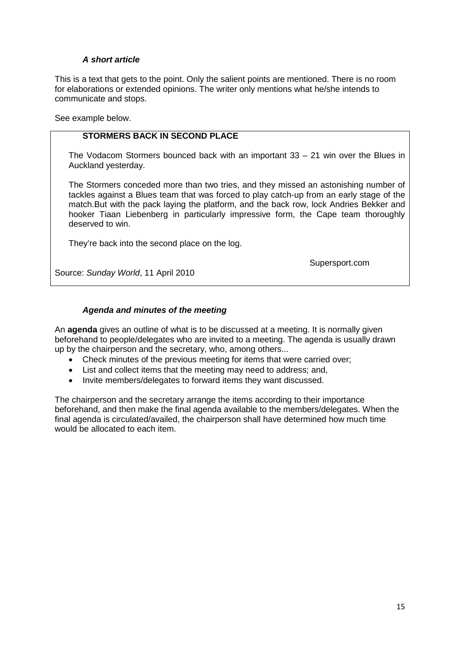# *A short article*

This is a text that gets to the point. Only the salient points are mentioned. There is no room for elaborations or extended opinions. The writer only mentions what he/she intends to communicate and stops.

See example below.

#### **STORMERS BACK IN SECOND PLACE**

The Vodacom Stormers bounced back with an important 33 – 21 win over the Blues in Auckland yesterday.

The Stormers conceded more than two tries, and they missed an astonishing number of tackles against a Blues team that was forced to play catch-up from an early stage of the match.But with the pack laying the platform, and the back row, lock Andries Bekker and hooker Tiaan Liebenberg in particularly impressive form, the Cape team thoroughly deserved to win.

They're back into the second place on the log.

Supersport.com

Source: *Sunday World*, 11 April 2010

#### *Agenda and minutes of the meeting*

An **agenda** gives an outline of what is to be discussed at a meeting. It is normally given beforehand to people/delegates who are invited to a meeting. The agenda is usually drawn up by the chairperson and the secretary, who, among others...

- Check minutes of the previous meeting for items that were carried over;
- List and collect items that the meeting may need to address; and,
- Invite members/delegates to forward items they want discussed.

The chairperson and the secretary arrange the items according to their importance beforehand, and then make the final agenda available to the members/delegates. When the final agenda is circulated/availed, the chairperson shall have determined how much time would be allocated to each item.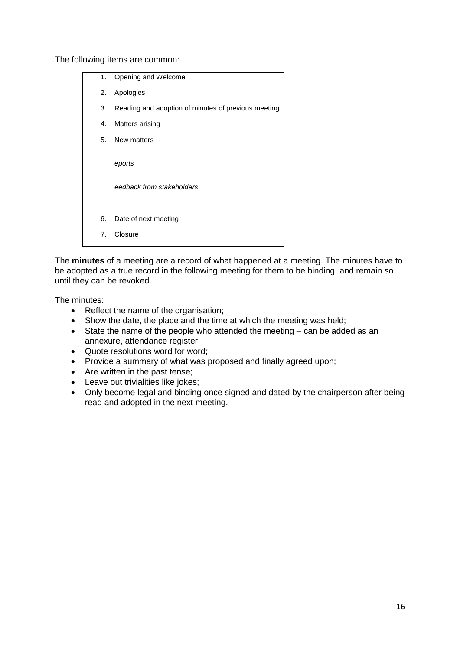The following items are common:

| 1. | Opening and Welcome                                 |
|----|-----------------------------------------------------|
| 2. | Apologies                                           |
| 3. | Reading and adoption of minutes of previous meeting |
| 4. | Matters arising                                     |
|    | 5. New matters                                      |
|    | eports<br>eedback from stakeholders                 |
| 6. | Date of next meeting                                |
| 7. | Closure                                             |

The **minutes** of a meeting are a record of what happened at a meeting. The minutes have to be adopted as a true record in the following meeting for them to be binding, and remain so until they can be revoked.

The minutes:

- Reflect the name of the organisation;
- Show the date, the place and the time at which the meeting was held;
- State the name of the people who attended the meeting can be added as an annexure, attendance register;
- Quote resolutions word for word;
- Provide a summary of what was proposed and finally agreed upon;
- Are written in the past tense;
- Leave out trivialities like jokes;
- Only become legal and binding once signed and dated by the chairperson after being read and adopted in the next meeting.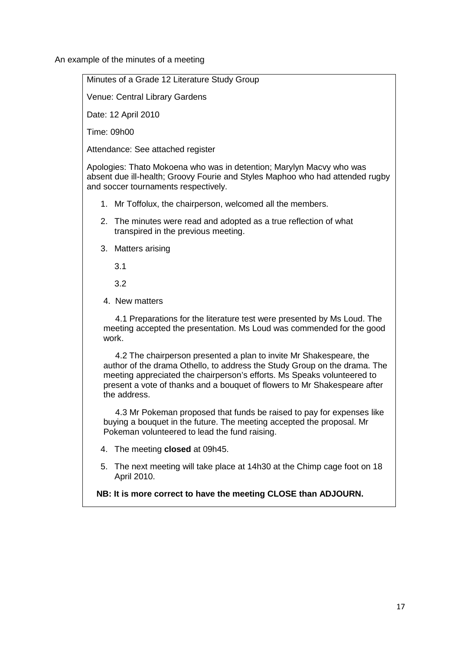An example of the minutes of a meeting

Minutes of a Grade 12 Literature Study Group

Venue: Central Library Gardens

Date: 12 April 2010

Time: 09h00

Attendance: See attached register

Apologies: Thato Mokoena who was in detention; Marylyn Macvy who was absent due ill-health; Groovy Fourie and Styles Maphoo who had attended rugby and soccer tournaments respectively.

- 1. Mr Toffolux, the chairperson, welcomed all the members.
- 2. The minutes were read and adopted as a true reflection of what transpired in the previous meeting.
- 3. Matters arising

3.1

3.2

4. New matters

 4.1 Preparations for the literature test were presented by Ms Loud. The meeting accepted the presentation. Ms Loud was commended for the good work.

 4.2 The chairperson presented a plan to invite Mr Shakespeare, the author of the drama Othello, to address the Study Group on the drama. The meeting appreciated the chairperson's efforts. Ms Speaks volunteered to present a vote of thanks and a bouquet of flowers to Mr Shakespeare after the address.

 4.3 Mr Pokeman proposed that funds be raised to pay for expenses like buying a bouquet in the future. The meeting accepted the proposal. Mr Pokeman volunteered to lead the fund raising.

- 4. The meeting **closed** at 09h45.
- 5. The next meeting will take place at 14h30 at the Chimp cage foot on 18 April 2010.

**NB: It is more correct to have the meeting CLOSE than ADJOURN.**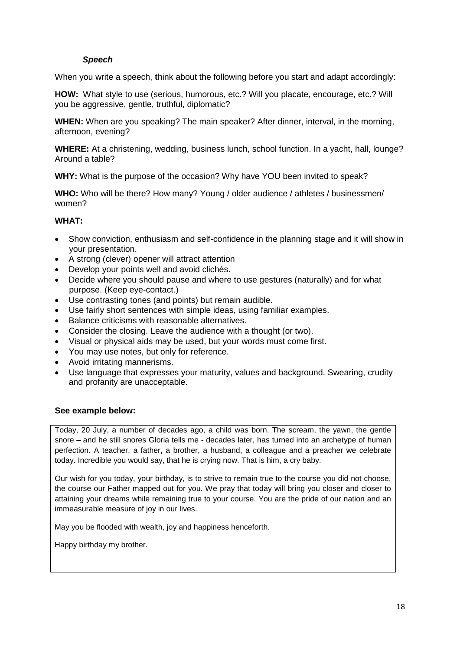# *Speech*

When you write a speech, **t**hink about the following before you start and adapt accordingly:

**HOW:** What style to use (serious, humorous, etc.? Will you placate, encourage, etc.? Will you be aggressive, gentle, truthful, diplomatic?

**WHEN:** When are you speaking? The main speaker? After dinner, interval, in the morning, afternoon, evening?

**WHERE:** At a christening, wedding, business lunch, school function. In a yacht, hall, lounge? Around a table?

**WHY:** What is the purpose of the occasion? Why have YOU been invited to speak?

**WHO:** Who will be there? How many? Young / older audience / athletes / businessmen/ women?

#### **WHAT:**

- Show conviction, enthusiasm and self-confidence in the planning stage and it will show in your presentation.
- A strong (clever) opener will attract attention
- Develop your points well and avoid clichés.
- Decide where you should pause and where to use gestures (naturally) and for what purpose. (Keep eye-contact.)
- Use contrasting tones (and points) but remain audible.
- Use fairly short sentences with simple ideas, using familiar examples.
- Balance criticisms with reasonable alternatives.
- Consider the closing. Leave the audience with a thought (or two).
- Visual or physical aids may be used, but your words must come first.
- You may use notes, but only for reference.
- Avoid irritating mannerisms.
- Use language that expresses your maturity, values and background. Swearing, crudity and profanity are unacceptable.

#### **See example below:**

Today, 20 July, a number of decades ago, a child was born. The scream, the yawn, the gentle snore – and he still snores Gloria tells me - decades later, has turned into an archetype of human perfection. A teacher, a father, a brother, a husband, a colleague and a preacher we celebrate today. Incredible you would say, that he is crying now. That is him, a cry baby.

Our wish for you today, your birthday, is to strive to remain true to the course you did not choose, the course our Father mapped out for you. We pray that today will bring you closer and closer to attaining your dreams while remaining true to your course. You are the pride of our nation and an immeasurable measure of joy in our lives.

May you be flooded with wealth, joy and happiness henceforth.

Happy birthday my brother.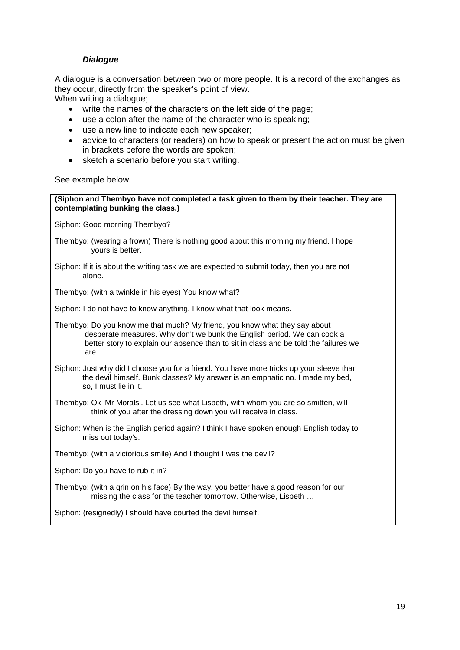## *Dialogue*

A dialogue is a conversation between two or more people. It is a record of the exchanges as they occur, directly from the speaker's point of view.

When writing a dialogue;

- write the names of the characters on the left side of the page;
- use a colon after the name of the character who is speaking;
- use a new line to indicate each new speaker;
- advice to characters (or readers) on how to speak or present the action must be given in brackets before the words are spoken;
- sketch a scenario before you start writing.

See example below.

**(Siphon and Thembyo have not completed a task given to them by their teacher. They are contemplating bunking the class.)** Siphon: Good morning Thembyo? Thembyo: (wearing a frown) There is nothing good about this morning my friend. I hope yours is better. Siphon: If it is about the writing task we are expected to submit today, then you are not alone. Thembyo: (with a twinkle in his eyes) You know what? Siphon: I do not have to know anything. I know what that look means. Thembyo: Do you know me that much? My friend, you know what they say about desperate measures. Why don't we bunk the English period. We can cook a better story to explain our absence than to sit in class and be told the failures we are. Siphon: Just why did I choose you for a friend. You have more tricks up your sleeve than the devil himself. Bunk classes? My answer is an emphatic no. I made my bed, so, I must lie in it. Thembyo: Ok 'Mr Morals'. Let us see what Lisbeth, with whom you are so smitten, will think of you after the dressing down you will receive in class. Siphon: When is the English period again? I think I have spoken enough English today to miss out today's. Thembyo: (with a victorious smile) And I thought I was the devil? Siphon: Do you have to rub it in? Thembyo: (with a grin on his face) By the way, you better have a good reason for our missing the class for the teacher tomorrow. Otherwise, Lisbeth …

Siphon: (resignedly) I should have courted the devil himself.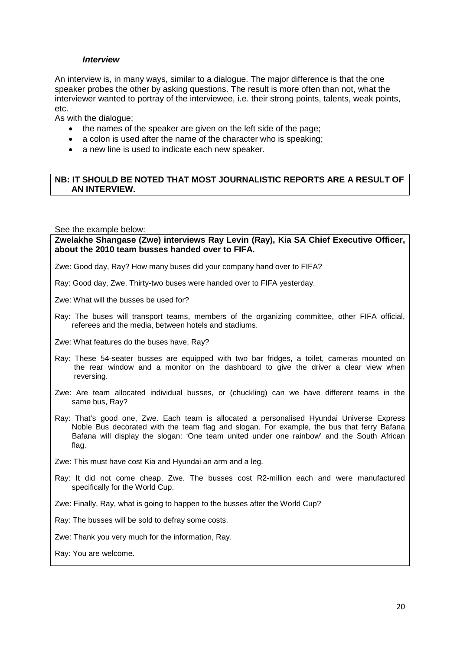#### *Interview*

An interview is, in many ways, similar to a dialogue. The major difference is that the one speaker probes the other by asking questions. The result is more often than not, what the interviewer wanted to portray of the interviewee, i.e. their strong points, talents, weak points, etc.

As with the dialogue;

- the names of the speaker are given on the left side of the page;
- a colon is used after the name of the character who is speaking;
- a new line is used to indicate each new speaker.

#### **NB: IT SHOULD BE NOTED THAT MOST JOURNALISTIC REPORTS ARE A RESULT OF AN INTERVIEW.**

See the example below:

**Zwelakhe Shangase (Zwe) interviews Ray Levin (Ray), Kia SA Chief Executive Officer, about the 2010 team busses handed over to FIFA.**

Zwe: Good day, Ray? How many buses did your company hand over to FIFA?

Ray: Good day, Zwe. Thirty-two buses were handed over to FIFA yesterday.

Zwe: What will the busses be used for?

Ray: The buses will transport teams, members of the organizing committee, other FIFA official, referees and the media, between hotels and stadiums.

Zwe: What features do the buses have, Ray?

- Ray: These 54-seater busses are equipped with two bar fridges, a toilet, cameras mounted on the rear window and a monitor on the dashboard to give the driver a clear view when reversing.
- Zwe: Are team allocated individual busses, or (chuckling) can we have different teams in the same bus, Ray?
- Ray: That's good one, Zwe. Each team is allocated a personalised Hyundai Universe Express Noble Bus decorated with the team flag and slogan. For example, the bus that ferry Bafana Bafana will display the slogan: 'One team united under one rainbow' and the South African flag.

Zwe: This must have cost Kia and Hyundai an arm and a leg.

Ray: It did not come cheap, Zwe. The busses cost R2-million each and were manufactured specifically for the World Cup.

Zwe: Finally, Ray, what is going to happen to the busses after the World Cup?

Ray: The busses will be sold to defray some costs.

Zwe: Thank you very much for the information, Ray.

Ray: You are welcome.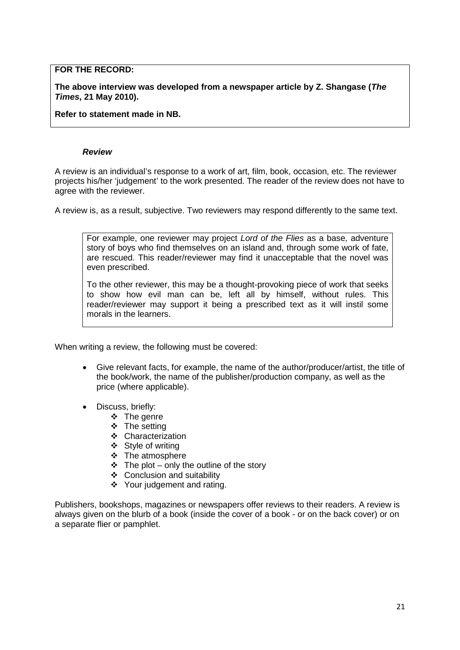## **FOR THE RECORD:**

**The above interview was developed from a newspaper article by Z. Shangase (***The Times***, 21 May 2010).**

**Refer to statement made in NB.**

#### *Review*

A review is an individual's response to a work of art, film, book, occasion, etc. The reviewer projects his/her 'judgement' to the work presented. The reader of the review does not have to agree with the reviewer.

A review is, as a result, subjective. Two reviewers may respond differently to the same text.

For example, one reviewer may project *Lord of the Flies* as a base, adventure story of boys who find themselves on an island and, through some work of fate, are rescued. This reader/reviewer may find it unacceptable that the novel was even prescribed.

To the other reviewer, this may be a thought-provoking piece of work that seeks to show how evil man can be, left all by himself, without rules. This reader/reviewer may support it being a prescribed text as it will instil some morals in the learners.

When writing a review, the following must be covered:

- Give relevant facts, for example, the name of the author/producer/artist, the title of the book/work, the name of the publisher/production company, as well as the price (where applicable).
- Discuss, briefly:
	- $\div$  The genre
	- $\div$  The setting
	- ❖ Characterization
	- ❖ Style of writing
	- $\bullet$  The atmosphere
	- $\div$  The plot only the outline of the story
	- Conclusion and suitability
	- Your judgement and rating.

Publishers, bookshops, magazines or newspapers offer reviews to their readers. A review is always given on the blurb of a book (inside the cover of a book - or on the back cover) or on a separate flier or pamphlet.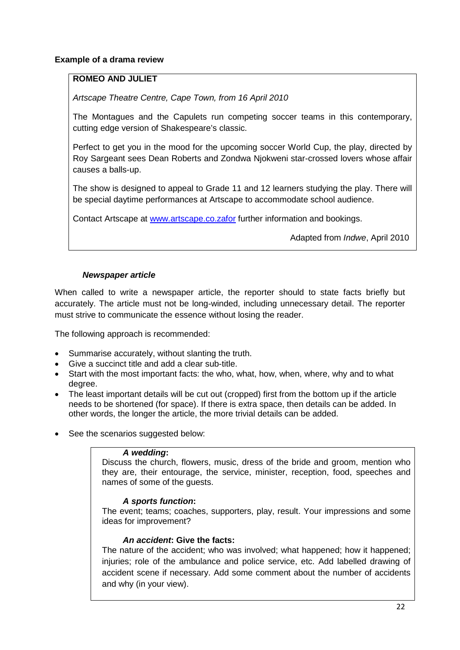## **Example of a drama review**

# **ROMEO AND JULIET**

*Artscape Theatre Centre, Cape Town, from 16 April 2010*

The Montagues and the Capulets run competing soccer teams in this contemporary, cutting edge version of Shakespeare's classic.

Perfect to get you in the mood for the upcoming soccer World Cup, the play, directed by Roy Sargeant sees Dean Roberts and Zondwa Njokweni star-crossed lovers whose affair causes a balls-up.

The show is designed to appeal to Grade 11 and 12 learners studying the play. There will be special daytime performances at Artscape to accommodate school audience.

Contact Artscape at [www.artscape.co.zafor](http://www.artscape.co.zafor/) further information and bookings.

Adapted from *Indwe*, April 2010

#### *Newspaper article*

When called to write a newspaper article, the reporter should to state facts briefly but accurately. The article must not be long-winded, including unnecessary detail. The reporter must strive to communicate the essence without losing the reader.

The following approach is recommended:

- Summarise accurately, without slanting the truth.
- Give a succinct title and add a clear sub-title.
- Start with the most important facts: the who, what, how, when, where, why and to what degree.
- The least important details will be cut out (cropped) first from the bottom up if the article needs to be shortened (for space). If there is extra space, then details can be added. In other words, the longer the article, the more trivial details can be added.
- See the scenarios suggested below:

#### *A wedding***:**

Discuss the church, flowers, music, dress of the bride and groom, mention who they are, their entourage, the service, minister, reception, food, speeches and names of some of the guests.

#### *A sports function***:**

The event; teams; coaches, supporters, play, result. Your impressions and some ideas for improvement?

#### *An accident***: Give the facts:**

The nature of the accident; who was involved; what happened; how it happened; injuries; role of the ambulance and police service, etc. Add labelled drawing of accident scene if necessary. Add some comment about the number of accidents and why (in your view).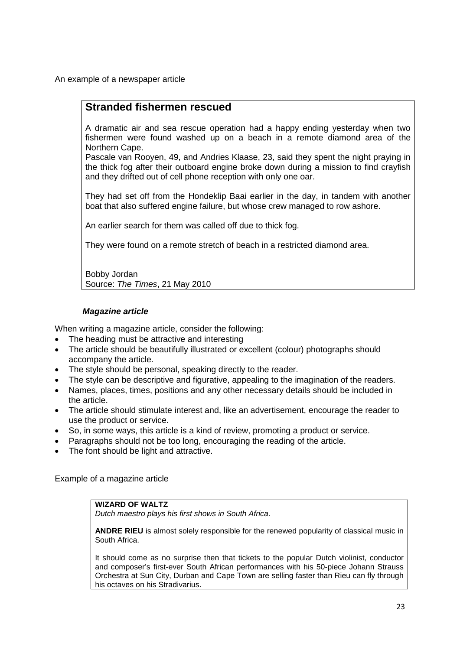An example of a newspaper article

# **Stranded fishermen rescued**

A dramatic air and sea rescue operation had a happy ending yesterday when two fishermen were found washed up on a beach in a remote diamond area of the Northern Cape.

Pascale van Rooyen, 49, and Andries Klaase, 23, said they spent the night praying in the thick fog after their outboard engine broke down during a mission to find crayfish and they drifted out of cell phone reception with only one oar.

They had set off from the Hondeklip Baai earlier in the day, in tandem with another boat that also suffered engine failure, but whose crew managed to row ashore.

An earlier search for them was called off due to thick fog.

They were found on a remote stretch of beach in a restricted diamond area.

Bobby Jordan Source: *The Times*, 21 May 2010

## *Magazine article*

When writing a magazine article, consider the following:

- The heading must be attractive and interesting
- The article should be beautifully illustrated or excellent (colour) photographs should accompany the article.
- The style should be personal, speaking directly to the reader.
- The style can be descriptive and figurative, appealing to the imagination of the readers.
- Names, places, times, positions and any other necessary details should be included in the article.
- The article should stimulate interest and, like an advertisement, encourage the reader to use the product or service.
- So, in some ways, this article is a kind of review, promoting a product or service.
- Paragraphs should not be too long, encouraging the reading of the article.
- The font should be light and attractive.

Example of a magazine article

# **WIZARD OF WALTZ**

*Dutch maestro plays his first shows in South Africa.*

**ANDRE RIEU** is almost solely responsible for the renewed popularity of classical music in South Africa.

It should come as no surprise then that tickets to the popular Dutch violinist, conductor and composer's first-ever South African performances with his 50-piece Johann Strauss Orchestra at Sun City, Durban and Cape Town are selling faster than Rieu can fly through his octaves on his Stradivarius.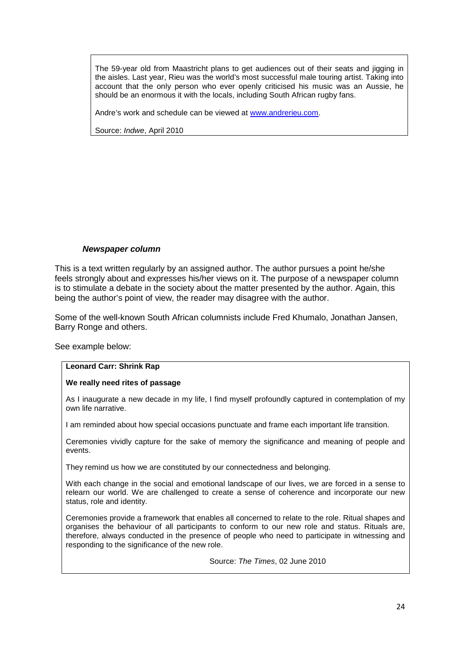The 59-year old from Maastricht plans to get audiences out of their seats and jigging in the aisles. Last year, Rieu was the world's most successful male touring artist. Taking into account that the only person who ever openly criticised his music was an Aussie, he should be an enormous it with the locals, including South African rugby fans.

Andre's work and schedule can be viewed at [www.andrerieu.com.](http://www.andrerieu.com/)

Source: *Indwe*, April 2010

#### *Newspaper column*

This is a text written regularly by an assigned author. The author pursues a point he/she feels strongly about and expresses his/her views on it. The purpose of a newspaper column is to stimulate a debate in the society about the matter presented by the author. Again, this being the author's point of view, the reader may disagree with the author.

Some of the well-known South African columnists include Fred Khumalo, Jonathan Jansen, Barry Ronge and others.

See example below:

#### **Leonard Carr: Shrink Rap**

#### **We really need rites of passage**

As I inaugurate a new decade in my life, I find myself profoundly captured in contemplation of my own life narrative.

I am reminded about how special occasions punctuate and frame each important life transition.

Ceremonies vividly capture for the sake of memory the significance and meaning of people and events.

They remind us how we are constituted by our connectedness and belonging.

With each change in the social and emotional landscape of our lives, we are forced in a sense to relearn our world. We are challenged to create a sense of coherence and incorporate our new status, role and identity.

Ceremonies provide a framework that enables all concerned to relate to the role. Ritual shapes and organises the behaviour of all participants to conform to our new role and status. Rituals are, therefore, always conducted in the presence of people who need to participate in witnessing and responding to the significance of the new role.

Source: *The Times*, 02 June 2010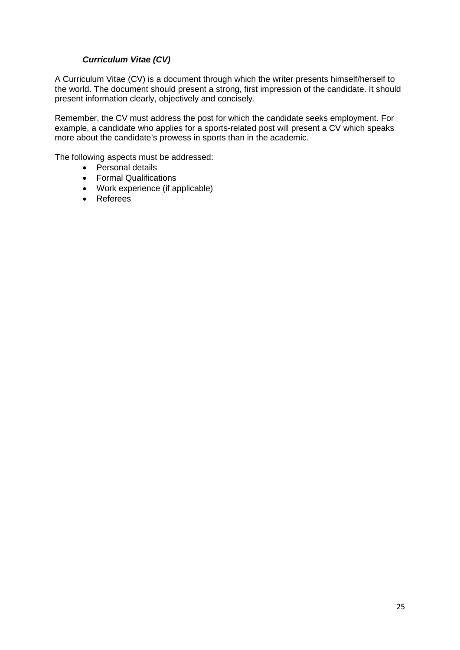# *Curriculum Vitae (CV)*

A Curriculum Vitae (CV) is a document through which the writer presents himself/herself to the world. The document should present a strong, first impression of the candidate. It should present information clearly, objectively and concisely.

Remember, the CV must address the post for which the candidate seeks employment. For example, a candidate who applies for a sports-related post will present a CV which speaks more about the candidate's prowess in sports than in the academic.

The following aspects must be addressed:

- Personal details
- Formal Qualifications
- Work experience (if applicable)
- Referees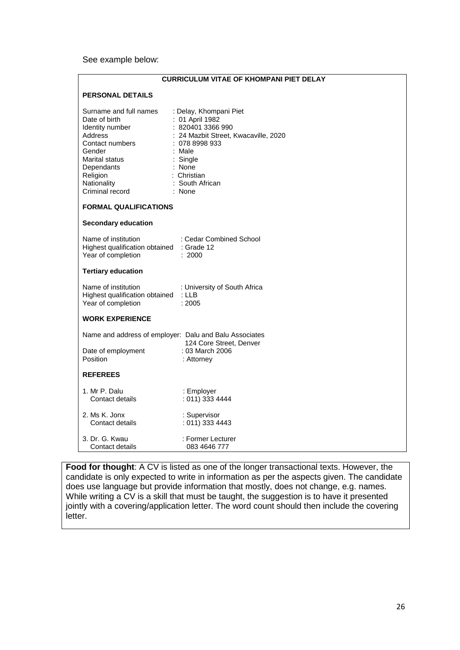See example below:

| <b>CURRICULUM VITAE OF KHOMPANI PIET DELAY</b>                                                                                                                                   |                                                                                                                                                                                                      |  |
|----------------------------------------------------------------------------------------------------------------------------------------------------------------------------------|------------------------------------------------------------------------------------------------------------------------------------------------------------------------------------------------------|--|
| <b>PERSONAL DETAILS</b>                                                                                                                                                          |                                                                                                                                                                                                      |  |
| Surname and full names<br>Date of birth<br>Identity number<br>Address<br>Contact numbers<br>Gender<br>Marital status<br>Dependants<br>Religion<br>Nationality<br>Criminal record | : Delay, Khompani Piet<br>: 01 April 1982<br>: 820401 3366 990<br>: 24 Mazbit Street, Kwacaville, 2020<br>: 0788998933<br>$:$ Male<br>: Single<br>: None<br>: Christian<br>: South African<br>: None |  |
| <b>FORMAL QUALIFICATIONS</b>                                                                                                                                                     |                                                                                                                                                                                                      |  |
| <b>Secondary education</b><br>Name of institution<br>Highest qualification obtained : Grade 12<br>Year of completion                                                             | : Cedar Combined School<br>: 2000                                                                                                                                                                    |  |
| <b>Tertiary education</b>                                                                                                                                                        |                                                                                                                                                                                                      |  |
| Name of institution<br>Highest qualification obtained<br>Year of completion                                                                                                      | : University of South Africa<br>: LLB<br>: 2005                                                                                                                                                      |  |
| <b>WORK EXPERIENCE</b>                                                                                                                                                           |                                                                                                                                                                                                      |  |
| Name and address of employer: Dalu and Balu Associates<br>Date of employment<br>Position                                                                                         | 124 Core Street, Denver<br>: 03 March 2006<br>: Attorney                                                                                                                                             |  |
| <b>REFEREES</b>                                                                                                                                                                  |                                                                                                                                                                                                      |  |
| 1. Mr P. Dalu<br>Contact details                                                                                                                                                 | : Employer<br>: 011) 333 4444                                                                                                                                                                        |  |
| 2. Ms K. Jonx<br>Contact details                                                                                                                                                 | : Supervisor<br>: 011) 333 4443                                                                                                                                                                      |  |
| 3. Dr. G. Kwau<br>Contact details                                                                                                                                                | : Former Lecturer<br>083 4646 777                                                                                                                                                                    |  |

**Food for thought**: A CV is listed as one of the longer transactional texts. However, the candidate is only expected to write in information as per the aspects given. The candidate does use language but provide information that mostly, does not change, e.g. names. While writing a CV is a skill that must be taught, the suggestion is to have it presented jointly with a covering/application letter. The word count should then include the covering letter.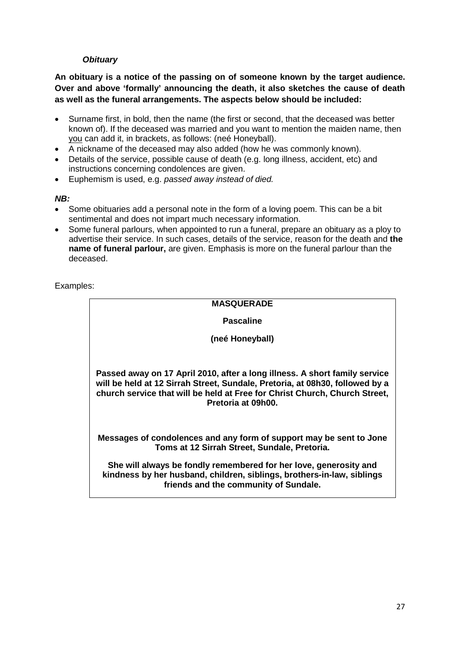# *Obituary*

**An obituary is a notice of the passing on of someone known by the target audience. Over and above 'formally' announcing the death, it also sketches the cause of death as well as the funeral arrangements. The aspects below should be included:**

- Surname first, in bold, then the name (the first or second, that the deceased was better known of). If the deceased was married and you want to mention the maiden name, then you can add it, in brackets, as follows: (neé Honeyball).
- A nickname of the deceased may also added (how he was commonly known).
- Details of the service, possible cause of death (e.g. long illness, accident, etc) and instructions concerning condolences are given.
- Euphemism is used, e.g. *passed away instead of died.*

#### *NB:*

- Some obituaries add a personal note in the form of a loving poem. This can be a bit sentimental and does not impart much necessary information.
- Some funeral parlours, when appointed to run a funeral, prepare an obituary as a ploy to advertise their service. In such cases, details of the service, reason for the death and **the name of funeral parlour,** are given. Emphasis is more on the funeral parlour than the deceased.

Examples:

# **MASQUERADE**

**Pascaline**

**(neé Honeyball)**

**Passed away on 17 April 2010, after a long illness. A short family service will be held at 12 Sirrah Street, Sundale, Pretoria, at 08h30, followed by a church service that will be held at Free for Christ Church, Church Street, Pretoria at 09h00.** 

**Messages of condolences and any form of support may be sent to Jone Toms at 12 Sirrah Street, Sundale, Pretoria.**

**She will always be fondly remembered for her love, generosity and kindness by her husband, children, siblings, brothers-in-law, siblings friends and the community of Sundale.**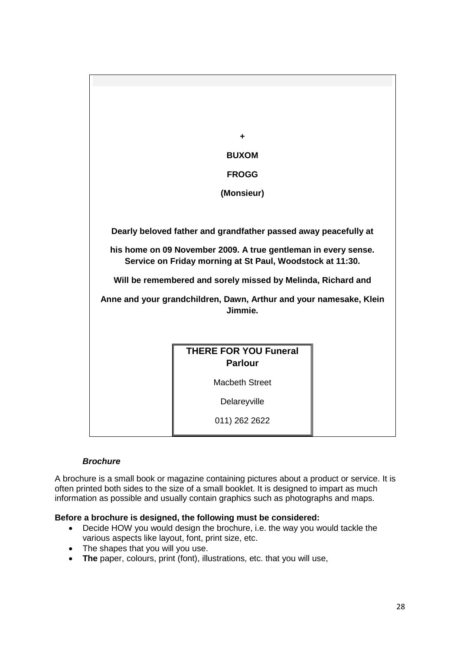

# *Brochure*

A brochure is a small book or magazine containing pictures about a product or service. It is often printed both sides to the size of a small booklet. It is designed to impart as much information as possible and usually contain graphics such as photographs and maps.

#### **Before a brochure is designed, the following must be considered:**

- Decide HOW you would design the brochure, i.e. the way you would tackle the various aspects like layout, font, print size, etc.
- The shapes that you will you use.
- **The** paper, colours, print (font), illustrations, etc. that you will use,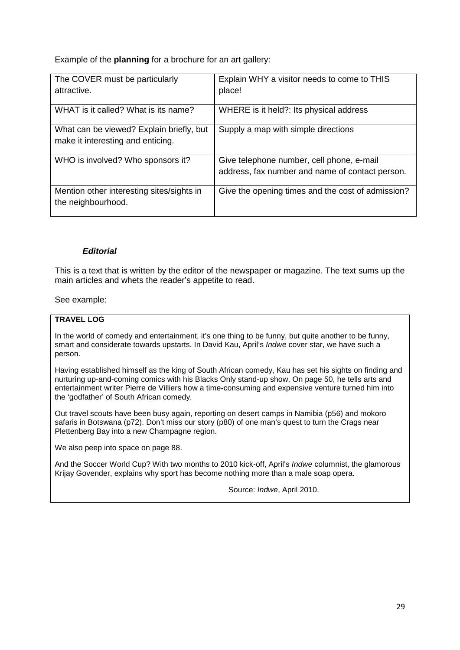Example of the **planning** for a brochure for an art gallery:

| The COVER must be particularly<br>attractive.                                 | Explain WHY a visitor needs to come to THIS<br>place!                                        |
|-------------------------------------------------------------------------------|----------------------------------------------------------------------------------------------|
| WHAT is it called? What is its name?                                          | WHERE is it held?: Its physical address                                                      |
| What can be viewed? Explain briefly, but<br>make it interesting and enticing. | Supply a map with simple directions                                                          |
| WHO is involved? Who sponsors it?                                             | Give telephone number, cell phone, e-mail<br>address, fax number and name of contact person. |
| Mention other interesting sites/sights in<br>the neighbourhood.               | Give the opening times and the cost of admission?                                            |

#### *Editorial*

This is a text that is written by the editor of the newspaper or magazine. The text sums up the main articles and whets the reader's appetite to read.

#### See example:

#### **TRAVEL LOG**

In the world of comedy and entertainment, it's one thing to be funny, but quite another to be funny, smart and considerate towards upstarts. In David Kau, April's *Indwe* cover star, we have such a person.

Having established himself as the king of South African comedy, Kau has set his sights on finding and nurturing up-and-coming comics with his Blacks Only stand-up show. On page 50, he tells arts and entertainment writer Pierre de Villiers how a time-consuming and expensive venture turned him into the 'godfather' of South African comedy.

Out travel scouts have been busy again, reporting on desert camps in Namibia (p56) and mokoro safaris in Botswana (p72). Don't miss our story (p80) of one man's quest to turn the Crags near Plettenberg Bay into a new Champagne region.

We also peep into space on page 88.

And the Soccer World Cup? With two months to 2010 kick-off, April's *Indwe* columnist, the glamorous Krijay Govender, explains why sport has become nothing more than a male soap opera.

Source: *Indwe*, April 2010.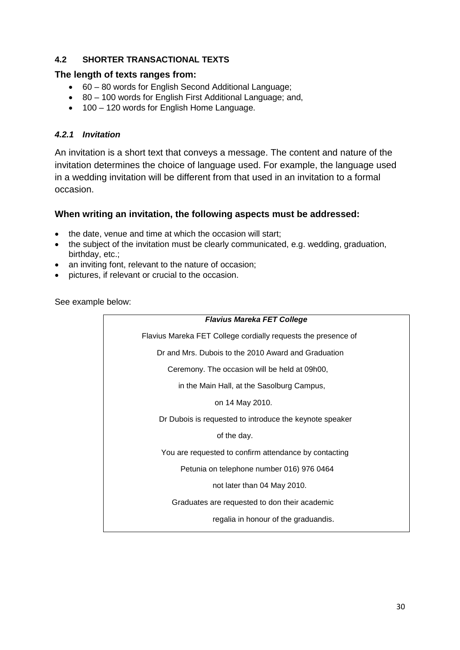# **4.2 SHORTER TRANSACTIONAL TEXTS**

## **The length of texts ranges from:**

- 60 80 words for English Second Additional Language;
- 80 100 words for English First Additional Language; and,
- 100 120 words for English Home Language.

# *4.2.1 Invitation*

An invitation is a short text that conveys a message. The content and nature of the invitation determines the choice of language used. For example, the language used in a wedding invitation will be different from that used in an invitation to a formal occasion.

## **When writing an invitation, the following aspects must be addressed:**

- the date, venue and time at which the occasion will start:
- the subject of the invitation must be clearly communicated, e.g. wedding, graduation, birthday, etc.;
- an inviting font, relevant to the nature of occasion;
- pictures, if relevant or crucial to the occasion.

See example below:

| <b>Flavius Mareka FET College</b>                             |
|---------------------------------------------------------------|
| Flavius Mareka FET College cordially requests the presence of |
| Dr and Mrs. Dubois to the 2010 Award and Graduation           |
| Ceremony. The occasion will be held at 09h00,                 |
| in the Main Hall, at the Sasolburg Campus,                    |
| on 14 May 2010.                                               |
| Dr Dubois is requested to introduce the keynote speaker       |
| of the day.                                                   |
| You are requested to confirm attendance by contacting         |
| Petunia on telephone number 016) 976 0464                     |
| not later than 04 May 2010.                                   |
| Graduates are requested to don their academic                 |
| regalia in honour of the graduandis.                          |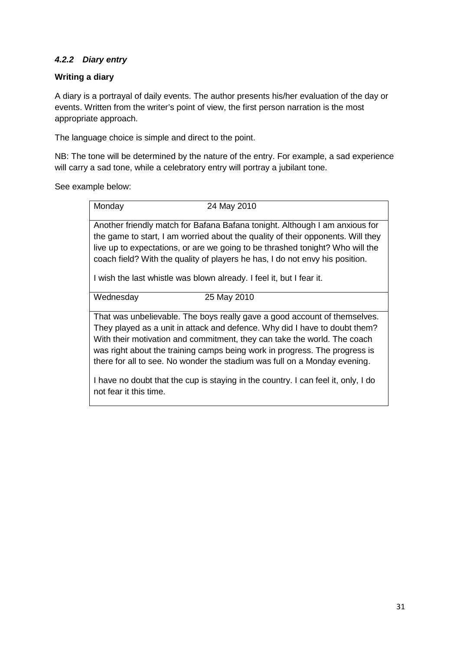# *4.2.2 Diary entry*

# **Writing a diary**

A diary is a portrayal of daily events. The author presents his/her evaluation of the day or events. Written from the writer's point of view, the first person narration is the most appropriate approach.

The language choice is simple and direct to the point.

not fear it this time.

NB: The tone will be determined by the nature of the entry. For example, a sad experience will carry a sad tone, while a celebratory entry will portray a jubilant tone.

See example below:

| Monday    | 24 May 2010                                                                                                                                                                                                                                                                                                                                                                                             |
|-----------|---------------------------------------------------------------------------------------------------------------------------------------------------------------------------------------------------------------------------------------------------------------------------------------------------------------------------------------------------------------------------------------------------------|
|           | Another friendly match for Bafana Bafana tonight. Although I am anxious for<br>the game to start, I am worried about the quality of their opponents. Will they<br>live up to expectations, or are we going to be thrashed tonight? Who will the<br>coach field? With the quality of players he has, I do not envy his position.<br>I wish the last whistle was blown already. I feel it, but I fear it. |
| Wednesday | 25 May 2010                                                                                                                                                                                                                                                                                                                                                                                             |
|           | That was unbelievable. The boys really gave a good account of themselves.<br>They played as a unit in attack and defence. Why did I have to doubt them?<br>With their motivation and commitment, they can take the world. The coach<br>was right about the training camps being work in progress. The progress is<br>there for all to see. No wonder the stadium was full on a Monday evening.          |
|           | I have no doubt that the cup is staying in the country. I can feel it, only, I do                                                                                                                                                                                                                                                                                                                       |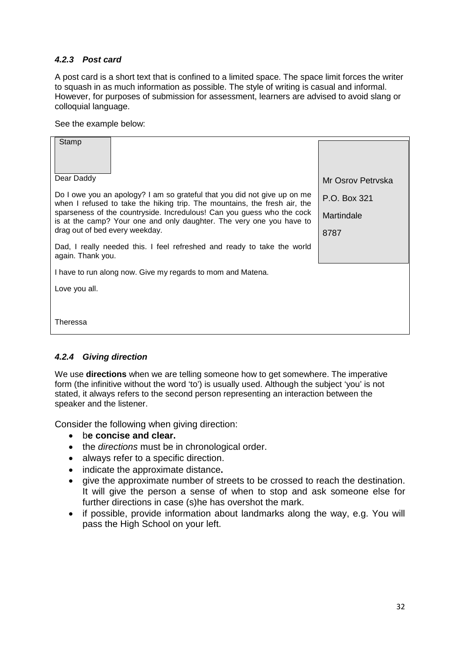# *4.2.3 Post card*

A post card is a short text that is confined to a limited space. The space limit forces the writer to squash in as much information as possible. The style of writing is casual and informal. However, for purposes of submission for assessment, learners are advised to avoid slang or colloquial language.

See the example below:

| Stamp<br>Dear Daddy                                                                                                                                   | Mr Osrov Petryska |
|-------------------------------------------------------------------------------------------------------------------------------------------------------|-------------------|
| Do I owe you an apology? I am so grateful that you did not give up on me<br>when I refused to take the hiking trip. The mountains, the fresh air, the | P.O. Box 321      |
| sparseness of the countryside. Incredulous! Can you guess who the cock<br>is at the camp? Your one and only daughter. The very one you have to        | Martindale        |
| drag out of bed every weekday.                                                                                                                        | 8787              |
| Dad, I really needed this. I feel refreshed and ready to take the world<br>again. Thank you.                                                          |                   |
| I have to run along now. Give my regards to mom and Matena.                                                                                           |                   |
| Love you all.                                                                                                                                         |                   |
|                                                                                                                                                       |                   |
| Theressa                                                                                                                                              |                   |

# *4.2.4 Giving direction*

We use **directions** when we are telling someone how to get somewhere. The imperative form (the infinitive without the word 'to') is usually used. Although the subject 'you' is not stated, it always refers to the second person representing an interaction between the speaker and the listener.

Consider the following when giving direction:

- b**e concise and clear.**
- the *directions* must be in chronological order.
- a lways refer to a specific direction.
- indicate the approximate distance **.**
- give the approximate number of streets to be crossed to reach the destination. It will give the person a sense of when to stop and ask someone else for further directions in case (s)he has overshot the mark.
- i f possible, provide information about landmarks along the way, e.g. You will pass the High School on your left.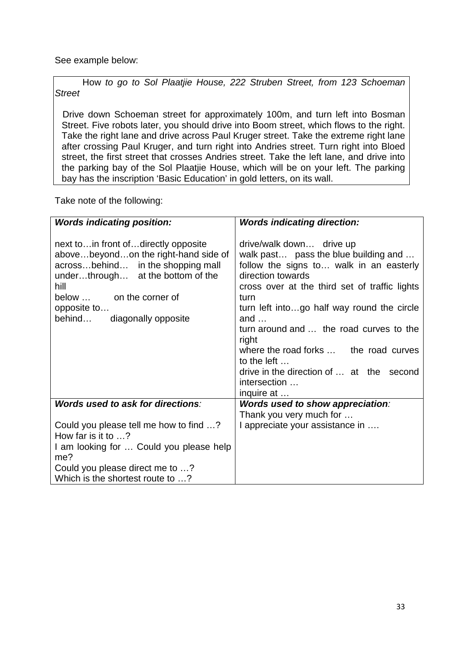See example below:

How *to go to Sol Plaatjie House, 222 Struben Street, from 123 Schoeman Street*

 Drive down Schoeman street for approximately 100m, and turn left into Bosman Street. Five robots later, you should drive into Boom street, which flows to the right. Take the right lane and drive across Paul Kruger street. Take the extreme right lane after crossing Paul Kruger, and turn right into Andries street. Turn right into Bloed street, the first street that crosses Andries street. Take the left lane, and drive into the parking bay of the Sol Plaatjie House, which will be on your left. The parking bay has the inscription 'Basic Education' in gold letters, on its wall.

Take note of the following:

| <b>Words indicating position:</b>                                                                                                                                                                                                       | <b>Words indicating direction:</b>                                                                                                                                                                                                                                                                                                                                                                                                           |
|-----------------------------------------------------------------------------------------------------------------------------------------------------------------------------------------------------------------------------------------|----------------------------------------------------------------------------------------------------------------------------------------------------------------------------------------------------------------------------------------------------------------------------------------------------------------------------------------------------------------------------------------------------------------------------------------------|
| next to in front of directly opposite<br>abovebeyondon the right-hand side of<br>acrossbehind in the shopping mall<br>underthrough at the bottom of the<br>hill<br>below  on the corner of<br>opposite to<br>behind diagonally opposite | drive/walk down drive up<br>walk past pass the blue building and<br>follow the signs to walk in an easterly<br>direction towards<br>cross over at the third set of traffic lights<br>turn<br>turn left intogo half way round the circle<br>and $\dots$<br>turn around and  the road curves to the<br>right<br>where the road forks  the road curves<br>to the left<br>drive in the direction of  at the second<br>intersection<br>inquire at |
| Words used to ask for directions:                                                                                                                                                                                                       | Words used to show appreciation:                                                                                                                                                                                                                                                                                                                                                                                                             |
|                                                                                                                                                                                                                                         | Thank you very much for                                                                                                                                                                                                                                                                                                                                                                                                                      |
| Could you please tell me how to find ?                                                                                                                                                                                                  | I appreciate your assistance in                                                                                                                                                                                                                                                                                                                                                                                                              |
| How far is it to $\ldots$ ?                                                                                                                                                                                                             |                                                                                                                                                                                                                                                                                                                                                                                                                                              |
| I am looking for  Could you please help<br>me?                                                                                                                                                                                          |                                                                                                                                                                                                                                                                                                                                                                                                                                              |
| Could you please direct me to ?                                                                                                                                                                                                         |                                                                                                                                                                                                                                                                                                                                                                                                                                              |
| Which is the shortest route to ?                                                                                                                                                                                                        |                                                                                                                                                                                                                                                                                                                                                                                                                                              |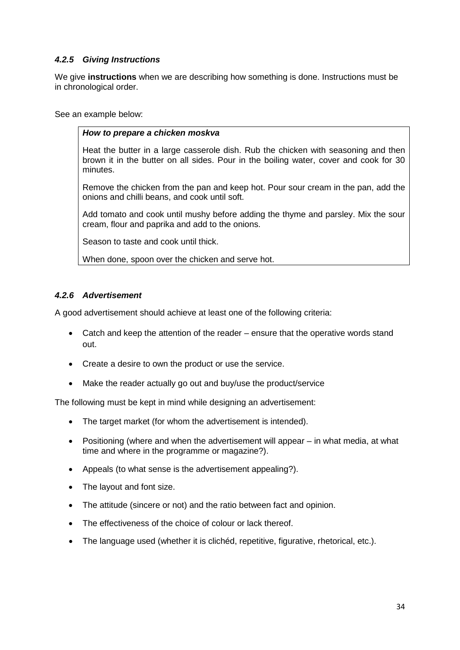# *4.2.5 Giving Instructions*

We give **instructions** when we are describing how something is done. Instructions must be in chronological order.

See an example below:

## *How to prepare a chicken moskva*

Heat the butter in a large casserole dish. Rub the chicken with seasoning and then brown it in the butter on all sides. Pour in the boiling water, cover and cook for 30 minutes.

Remove the chicken from the pan and keep hot. Pour sour cream in the pan, add the onions and chilli beans, and cook until soft.

Add tomato and cook until mushy before adding the thyme and parsley. Mix the sour cream, flour and paprika and add to the onions.

Season to taste and cook until thick.

When done, spoon over the chicken and serve hot.

# *4.2.6 Advertisement*

A good advertisement should achieve at least one of the following criteria:

- Catch and keep the attention of the reader ensure that the operative words stand out.
- Create a desire to own the product or use the service.
- Make the reader actually go out and buy/use the product/service

The following must be kept in mind while designing an advertisement:

- The target market (for whom the advertisement is intended).
- Positioning (where and when the advertisement will appear in what media, at what time and where in the programme or magazine?).
- Appeals (to what sense is the advertisement appealing?).
- The layout and font size.
- The attitude (sincere or not) and the ratio between fact and opinion.
- The effectiveness of the choice of colour or lack thereof.
- The language used (whether it is clichéd, repetitive, figurative, rhetorical, etc.).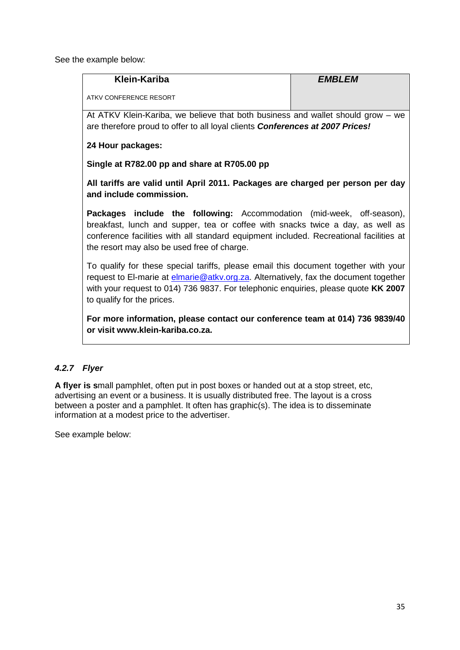See the example below:

| <b>Klein-Kariba</b>                                                                                                                                                                                                                                                                                     | <b>EMBLEM</b> |
|---------------------------------------------------------------------------------------------------------------------------------------------------------------------------------------------------------------------------------------------------------------------------------------------------------|---------------|
| ATKV CONFERENCE RESORT                                                                                                                                                                                                                                                                                  |               |
| At ATKV Klein-Kariba, we believe that both business and wallet should grow – we<br>are therefore proud to offer to all loyal clients <b>Conferences at 2007 Prices!</b>                                                                                                                                 |               |
| 24 Hour packages:                                                                                                                                                                                                                                                                                       |               |
| Single at R782.00 pp and share at R705.00 pp                                                                                                                                                                                                                                                            |               |
| All tariffs are valid until April 2011. Packages are charged per person per day<br>and include commission.                                                                                                                                                                                              |               |
| <b>Packages include the following:</b> Accommodation (mid-week, off-season),<br>breakfast, lunch and supper, tea or coffee with snacks twice a day, as well as<br>conference facilities with all standard equipment included. Recreational facilities at<br>the resort may also be used free of charge. |               |
| To qualify for these special tariffs, please email this document together with your<br>request to El-marie at <i>elmarie@atkv.org.za</i> . Alternatively, fax the document together<br>with your request to 014) 736 9837. For telephonic enquiries, please quote KK 2007<br>to qualify for the prices. |               |
| For more information, please contact our conference team at 014) 736 9839/40<br>or visit www.klein-kariba.co.za.                                                                                                                                                                                        |               |

# *4.2.7 Flyer*

**A flyer is s**mall pamphlet, often put in post boxes or handed out at a stop street, etc, advertising an event or a business. It is usually distributed free. The layout is a cross between a poster and a pamphlet. It often has graphic(s). The idea is to disseminate information at a modest price to the advertiser.

See example below: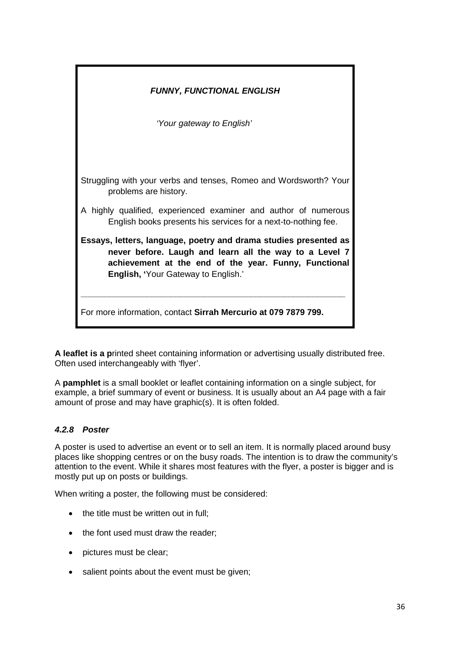| <b>FUNNY, FUNCTIONAL ENGLISH</b>                                                                                                                                                                                                  |  |  |  |  |  |
|-----------------------------------------------------------------------------------------------------------------------------------------------------------------------------------------------------------------------------------|--|--|--|--|--|
| 'Your gateway to English'                                                                                                                                                                                                         |  |  |  |  |  |
|                                                                                                                                                                                                                                   |  |  |  |  |  |
| Struggling with your verbs and tenses, Romeo and Wordsworth? Your<br>problems are history.                                                                                                                                        |  |  |  |  |  |
| A highly qualified, experienced examiner and author of numerous<br>English books presents his services for a next-to-nothing fee.                                                                                                 |  |  |  |  |  |
| Essays, letters, language, poetry and drama studies presented as<br>never before. Laugh and learn all the way to a Level 7<br>achievement at the end of the year. Funny, Functional<br><b>English, 'Your Gateway to English.'</b> |  |  |  |  |  |
| For more information, contact Sirrah Mercurio at 079 7879 799.                                                                                                                                                                    |  |  |  |  |  |

**A leaflet is a p**rinted sheet containing information or advertising usually distributed free. Often used interchangeably with 'flyer'.

A **pamphlet** is a small booklet or leaflet containing information on a single subject, for example, a brief summary of event or business. It is usually about an A4 page with a fair amount of prose and may have graphic(s). It is often folded.

# *4.2.8 Poster*

A poster is used to advertise an event or to sell an item. It is normally placed around busy places like shopping centres or on the busy roads. The intention is to draw the community's attention to the event. While it shares most features with the flyer, a poster is bigger and is mostly put up on posts or buildings.

When writing a poster, the following must be considered:

- the title must be written out in full:
- the font used must draw the reader;
- pictures must be clear;
- salient points about the event must be given;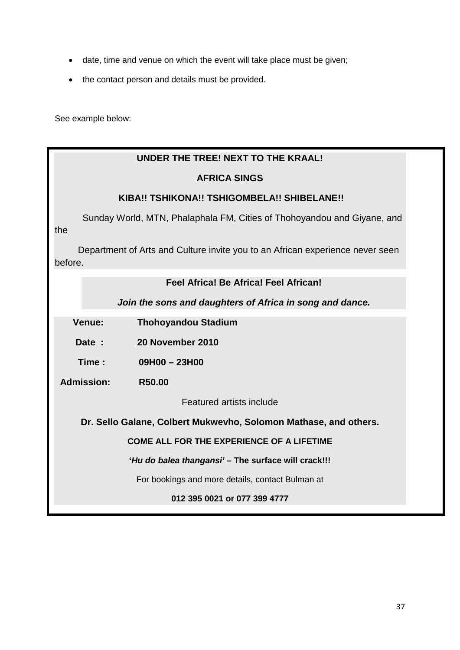- date, time and venue on which the event will take place must be given;
- the contact person and details must be provided.

See example below:

# **UNDER THE TREE! NEXT TO THE KRAAL!**

## **AFRICA SINGS**

## **KIBA!! TSHIKONA!! TSHIGOMBELA!! SHIBELANE!!**

Sunday World, MTN, Phalaphala FM, Cities of Thohoyandou and Giyane, and the

 Department of Arts and Culture invite you to an African experience never seen before.

## **Feel Africa! Be Africa! Feel African!**

#### *Join the sons and daughters of Africa in song and dance.*

 **Venue: Thohoyandou Stadium**

 **Date : 20 November 2010**

 **Time : 09H00 – 23H00**

 **Admission: R50.00**

Featured artists include

**Dr. Sello Galane, Colbert Mukwevho, Solomon Mathase, and others.**

**COME ALL FOR THE EXPERIENCE OF A LIFETIME**

**'***Hu do balea thangansi'* **– The surface will crack!!!**

For bookings and more details, contact Bulman at

**012 395 0021 or 077 399 4777**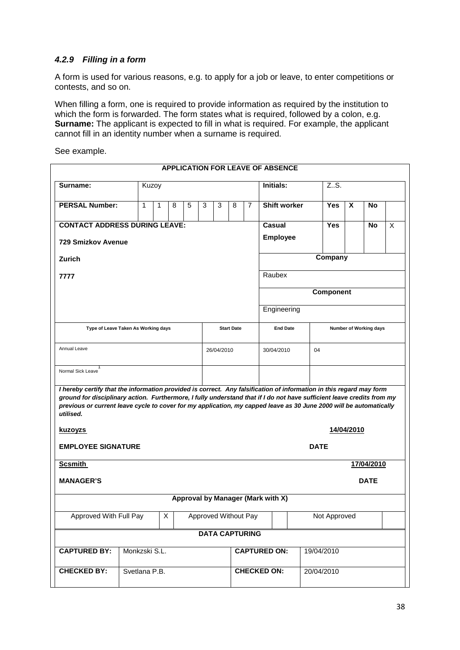## *4.2.9 Filling in a form*

A form is used for various reasons, e.g. to apply for a job or leave, to enter competitions or contests, and so on.

When filling a form, one is required to provide information as required by the institution to which the form is forwarded. The form states what is required, followed by a colon, e.g. **Surname:** The applicant is expected to fill in what is required. For example, the applicant cannot fill in an identity number when a surname is required.

See example.

| <b>APPLICATION FOR LEAVE OF ABSENCE</b>                                                                                                                                                                                                                                                                                                                                          |               |   |   |   |                             |                   |         |                  |                     |            |                        |              |              |  |  |
|----------------------------------------------------------------------------------------------------------------------------------------------------------------------------------------------------------------------------------------------------------------------------------------------------------------------------------------------------------------------------------|---------------|---|---|---|-----------------------------|-------------------|---------|------------------|---------------------|------------|------------------------|--------------|--------------|--|--|
| Surname:                                                                                                                                                                                                                                                                                                                                                                         | Kuzoy         |   |   |   |                             |                   |         |                  | Initials:           |            | ZS.                    |              |              |  |  |
| <b>PERSAL Number:</b>                                                                                                                                                                                                                                                                                                                                                            | $\mathbf{1}$  | 1 | 8 | 5 | 3                           | 3                 | 8       | $\overline{7}$   | <b>Shift worker</b> |            | <b>Yes</b>             | $\mathsf{x}$ | <b>No</b>    |  |  |
| <b>CONTACT ADDRESS DURING LEAVE:</b>                                                                                                                                                                                                                                                                                                                                             |               |   |   |   |                             |                   |         | Casual           |                     | <b>Yes</b> |                        | <b>No</b>    | $\mathsf{X}$ |  |  |
| <b>729 Smizkov Avenue</b>                                                                                                                                                                                                                                                                                                                                                        |               |   |   |   |                             |                   |         | <b>Employee</b>  |                     |            |                        |              |              |  |  |
| Zurich                                                                                                                                                                                                                                                                                                                                                                           |               |   |   |   |                             |                   | Company |                  |                     |            |                        |              |              |  |  |
| 7777                                                                                                                                                                                                                                                                                                                                                                             |               |   |   |   |                             |                   |         |                  | Raubex              |            |                        |              |              |  |  |
|                                                                                                                                                                                                                                                                                                                                                                                  |               |   |   |   |                             |                   |         | <b>Component</b> |                     |            |                        |              |              |  |  |
|                                                                                                                                                                                                                                                                                                                                                                                  |               |   |   |   |                             |                   |         |                  | Engineering         |            |                        |              |              |  |  |
| Type of Leave Taken As Working days                                                                                                                                                                                                                                                                                                                                              |               |   |   |   |                             | <b>Start Date</b> |         |                  | <b>End Date</b>     |            | Number of Working days |              |              |  |  |
| Annual Leave                                                                                                                                                                                                                                                                                                                                                                     |               |   |   |   |                             | 26/04/2010        |         |                  | 30/04/2010          | 04         |                        |              |              |  |  |
| Normal Sick Leave                                                                                                                                                                                                                                                                                                                                                                |               |   |   |   |                             |                   |         |                  |                     |            |                        |              |              |  |  |
| I hereby certify that the information provided is correct. Any falsification of information in this regard may form<br>ground for disciplinary action. Furthermore, I fully understand that if I do not have sufficient leave credits from my<br>previous or current leave cycle to cover for my application, my capped leave as 30 June 2000 will be automatically<br>utilised. |               |   |   |   |                             |                   |         |                  |                     |            |                        |              |              |  |  |
| <u>kuzoyzs</u>                                                                                                                                                                                                                                                                                                                                                                   | 14/04/2010    |   |   |   |                             |                   |         |                  |                     |            |                        |              |              |  |  |
| <b>EMPLOYEE SIGNATURE</b>                                                                                                                                                                                                                                                                                                                                                        |               |   |   |   |                             | <b>DATE</b>       |         |                  |                     |            |                        |              |              |  |  |
| <b>Scsmith</b>                                                                                                                                                                                                                                                                                                                                                                   | 17/04/2010    |   |   |   |                             |                   |         |                  |                     |            |                        |              |              |  |  |
| <b>MANAGER'S</b><br><b>DATE</b>                                                                                                                                                                                                                                                                                                                                                  |               |   |   |   |                             |                   |         |                  |                     |            |                        |              |              |  |  |
| Approval by Manager (Mark with X)                                                                                                                                                                                                                                                                                                                                                |               |   |   |   |                             |                   |         |                  |                     |            |                        |              |              |  |  |
| Approved With Full Pay<br>X                                                                                                                                                                                                                                                                                                                                                      |               |   |   |   | <b>Approved Without Pay</b> |                   |         |                  | Not Approved        |            |                        |              |              |  |  |
| <b>DATA CAPTURING</b>                                                                                                                                                                                                                                                                                                                                                            |               |   |   |   |                             |                   |         |                  |                     |            |                        |              |              |  |  |
| <b>CAPTURED BY:</b>                                                                                                                                                                                                                                                                                                                                                              | Monkzski S.L. |   |   |   |                             |                   |         |                  | <b>CAPTURED ON:</b> | 19/04/2010 |                        |              |              |  |  |
| <b>CHECKED BY:</b>                                                                                                                                                                                                                                                                                                                                                               | Svetlana P.B. |   |   |   |                             |                   |         |                  | <b>CHECKED ON:</b>  | 20/04/2010 |                        |              |              |  |  |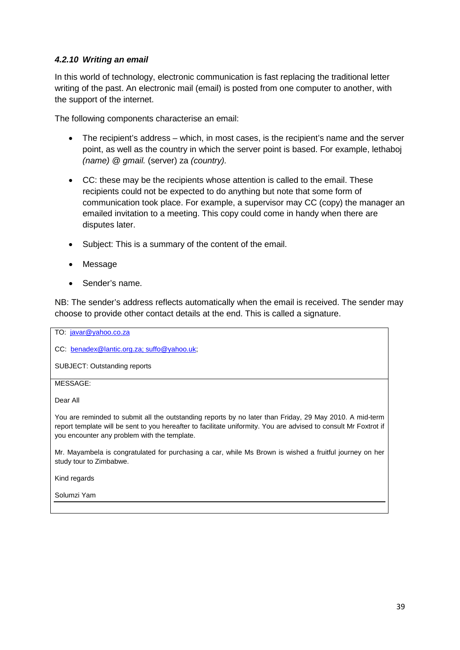# *4.2.10 Writing an email*

In this world of technology, electronic communication is fast replacing the traditional letter writing of the past. An electronic mail (email) is posted from one computer to another, with the support of the internet.

The following components characterise an email:

- The recipient's address which, in most cases, is the recipient's name and the server point, as well as the country in which the server point is based. For example, lethaboj *(name)* @ *gmail.* (server) za *(country).*
- CC: these may be the recipients whose attention is called to the email. These recipients could not be expected to do anything but note that some form of communication took place. For example, a supervisor may CC (copy) the manager an emailed invitation to a meeting. This copy could come in handy when there are disputes later.
- Subject: This is a summary of the content of the email.
- Message
- Sender's name.

you encounter any problem with the template.

NB: The sender's address reflects automatically when the email is received. The sender may choose to provide other contact details at the end. This is called a signature.

TO: [javar@yahoo.co.za](mailto:javar@yahoo.co.za) CC: [benadex@lantic.org.za; suffo@yahoo.uk;](mailto:benadex@lantic.org.za;%20suffo@yahoo.uk) SUBJECT: Outstanding reports MESSAGE: Dear All You are reminded to submit all the outstanding reports by no later than Friday, 29 May 2010. A mid-term report template will be sent to you hereafter to facilitate uniformity. You are advised to consult Mr Foxtrot if

Mr. Mayambela is congratulated for purchasing a car, while Ms Brown is wished a fruitful journey on her study tour to Zimbabwe.

Kind regards

Solumzi Yam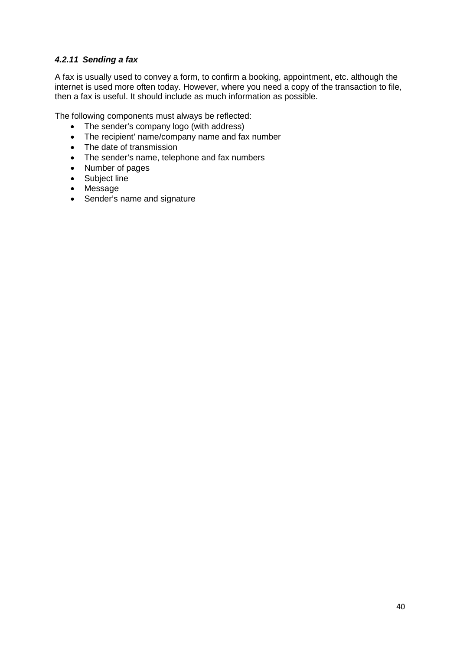# *4.2.11 Sending a fax*

A fax is usually used to convey a form, to confirm a booking, appointment, etc. although the internet is used more often today. However, where you need a copy of the transaction to file, then a fax is useful. It should include as much information as possible.

The following components must always be reflected:

- The sender's company logo (with address)
- The recipient' name/company name and fax number
- The date of transmission
- The sender's name, telephone and fax numbers
- Number of pages
- Subject line
- Message
- Sender's name and signature